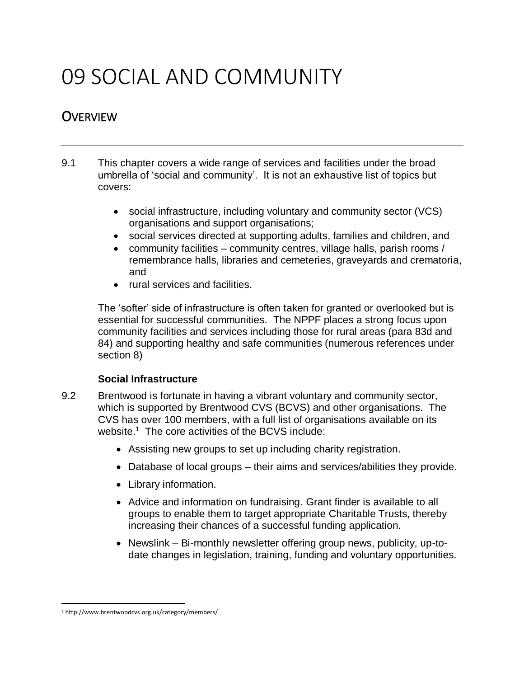# 09 SOCIAL AND COMMUNITY

## **OVERVIEW**

- 9.1 This chapter covers a wide range of services and facilities under the broad umbrella of 'social and community'. It is not an exhaustive list of topics but covers:
	- social infrastructure, including voluntary and community sector (VCS) organisations and support organisations;
	- social services directed at supporting adults, families and children, and
	- community facilities community centres, village halls, parish rooms / remembrance halls, libraries and cemeteries, graveyards and crematoria, and
	- rural services and facilities.

The 'softer' side of infrastructure is often taken for granted or overlooked but is essential for successful communities. The NPPF places a strong focus upon community facilities and services including those for rural areas (para 83d and 84) and supporting healthy and safe communities (numerous references under section 8)

#### **Social Infrastructure**

- 9.2 Brentwood is fortunate in having a vibrant voluntary and community sector, which is supported by Brentwood CVS (BCVS) and other organisations. The CVS has over 100 members, with a full list of organisations available on its website.<sup>1</sup> The core activities of the BCVS include:
	- Assisting new groups to set up including charity registration.
	- Database of local groups their aims and services/abilities they provide.
	- Library information.
	- Advice and information on fundraising. Grant finder is available to all groups to enable them to target appropriate Charitable Trusts, thereby increasing their chances of a successful funding application.
	- Newslink Bi-monthly newsletter offering group news, publicity, up-todate changes in legislation, training, funding and voluntary opportunities.

 $\overline{\phantom{a}}$ <sup>1</sup> http://www.brentwoodcvs.org.uk/category/members/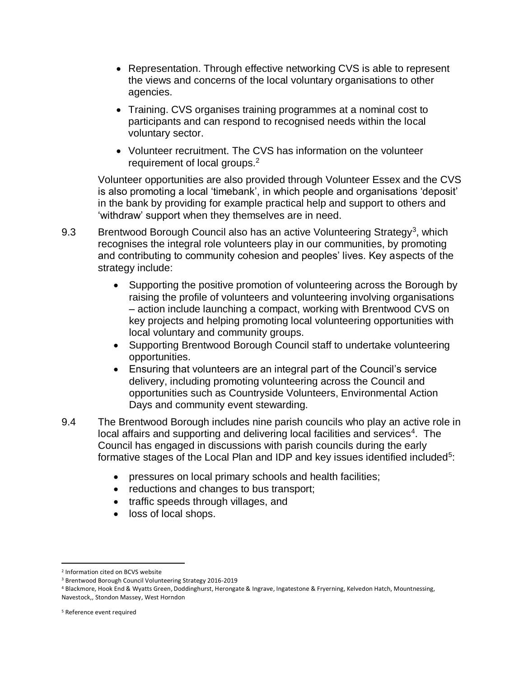- Representation. Through effective networking CVS is able to represent the views and concerns of the local voluntary organisations to other agencies.
- Training. CVS organises training programmes at a nominal cost to participants and can respond to recognised needs within the local voluntary sector.
- Volunteer recruitment. The CVS has information on the volunteer requirement of local groups.<sup>2</sup>

Volunteer opportunities are also provided through Volunteer Essex and the CVS is also promoting a local 'timebank', in which people and organisations 'deposit' in the bank by providing for example practical help and support to others and 'withdraw' support when they themselves are in need.

- 9.3 Brentwood Borough Council also has an active Volunteering Strategy<sup>3</sup>, which recognises the integral role volunteers play in our communities, by promoting and contributing to community cohesion and peoples' lives. Key aspects of the strategy include:
	- Supporting the positive promotion of volunteering across the Borough by raising the profile of volunteers and volunteering involving organisations – action include launching a compact, working with Brentwood CVS on key projects and helping promoting local volunteering opportunities with local voluntary and community groups.
	- Supporting Brentwood Borough Council staff to undertake volunteering opportunities.
	- Ensuring that volunteers are an integral part of the Council's service delivery, including promoting volunteering across the Council and opportunities such as Countryside Volunteers, Environmental Action Days and community event stewarding.
- 9.4 The Brentwood Borough includes nine parish councils who play an active role in local affairs and supporting and delivering local facilities and services $4$ . The Council has engaged in discussions with parish councils during the early formative stages of the Local Plan and IDP and key issues identified included<sup>5</sup>:
	- pressures on local primary schools and health facilities;
	- reductions and changes to bus transport;
	- traffic speeds through villages, and
	- loss of local shops.

 $\overline{a}$ 

<sup>2</sup> Information cited on BCVS website

<sup>3</sup> Brentwood Borough Council Volunteering Strategy 2016-2019

<sup>4</sup> [Blackmore, Hook End & Wyatts Green,](https://brentwood.moderngov.co.uk/mgParishCouncilDetails.aspx?ID=147&LS=5) [Doddinghurst,](https://brentwood.moderngov.co.uk/mgParishCouncilDetails.aspx?ID=148&LS=5) [Herongate & Ingrave,](https://brentwood.moderngov.co.uk/mgParishCouncilDetails.aspx?ID=149&LS=5) [Ingatestone & Fryerning,](https://brentwood.moderngov.co.uk/mgParishCouncilDetails.aspx?ID=150&LS=5) [Kelvedon Hatch,](https://brentwood.moderngov.co.uk/mgParishCouncilDetails.aspx?ID=151&LS=5) [Mountnessing,](https://brentwood.moderngov.co.uk/mgParishCouncilDetails.aspx?ID=152&LS=5)  [Navestock,](https://brentwood.moderngov.co.uk/mgParishCouncilDetails.aspx?ID=153&LS=5)[, Stondon Massey,](https://brentwood.moderngov.co.uk/mgParishCouncilDetails.aspx?ID=154&LS=5) [West Horndon](https://brentwood.moderngov.co.uk/mgParishCouncilDetails.aspx?ID=155&LS=5)

<sup>5</sup> Reference event required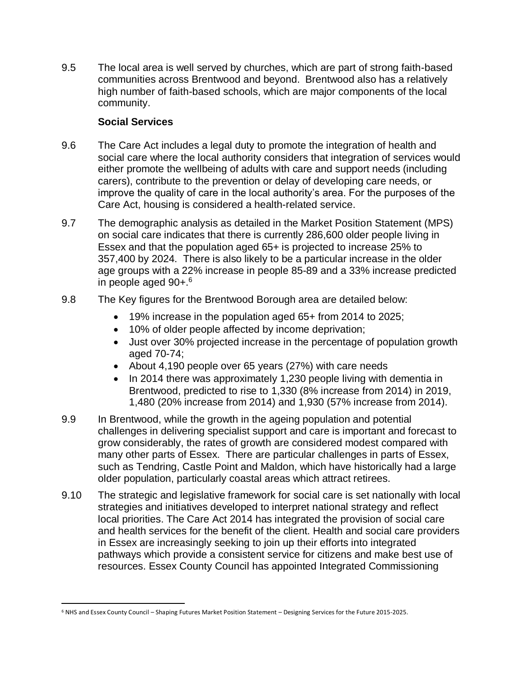9.5 The local area is well served by churches, which are part of strong faith-based communities across Brentwood and beyond. Brentwood also has a relatively high number of faith-based schools, which are major components of the local community.

#### **Social Services**

- 9.6 The Care Act includes a legal duty to promote the integration of health and social care where the local authority considers that integration of services would either promote the wellbeing of adults with care and support needs (including carers), contribute to the prevention or delay of developing care needs, or improve the quality of care in the local authority's area. For the purposes of the Care Act, housing is considered a health-related service.
- 9.7 The demographic analysis as detailed in the Market Position Statement (MPS) on social care indicates that there is currently 286,600 older people living in Essex and that the population aged 65+ is projected to increase 25% to 357,400 by 2024. There is also likely to be a particular increase in the older age groups with a 22% increase in people 85-89 and a 33% increase predicted in people aged 90+.<sup>6</sup>
- 9.8 The Key figures for the Brentwood Borough area are detailed below:
	- 19% increase in the population aged 65+ from 2014 to 2025;
	- 10% of older people affected by income deprivation;
	- Just over 30% projected increase in the percentage of population growth aged 70-74;
	- About 4,190 people over 65 years (27%) with care needs
	- In 2014 there was approximately 1,230 people living with dementia in Brentwood, predicted to rise to 1,330 (8% increase from 2014) in 2019, 1,480 (20% increase from 2014) and 1,930 (57% increase from 2014).
- 9.9 In Brentwood, while the growth in the ageing population and potential challenges in delivering specialist support and care is important and forecast to grow considerably, the rates of growth are considered modest compared with many other parts of Essex. There are particular challenges in parts of Essex, such as Tendring, Castle Point and Maldon, which have historically had a large older population, particularly coastal areas which attract retirees.
- 9.10 The strategic and legislative framework for social care is set nationally with local strategies and initiatives developed to interpret national strategy and reflect local priorities. The Care Act 2014 has integrated the provision of social care and health services for the benefit of the client. Health and social care providers in Essex are increasingly seeking to join up their efforts into integrated pathways which provide a consistent service for citizens and make best use of resources. Essex County Council has appointed Integrated Commissioning

 $\overline{\phantom{a}}$ <sup>6</sup> NHS and Essex County Council – Shaping Futures Market Position Statement – Designing Services for the Future 2015-2025.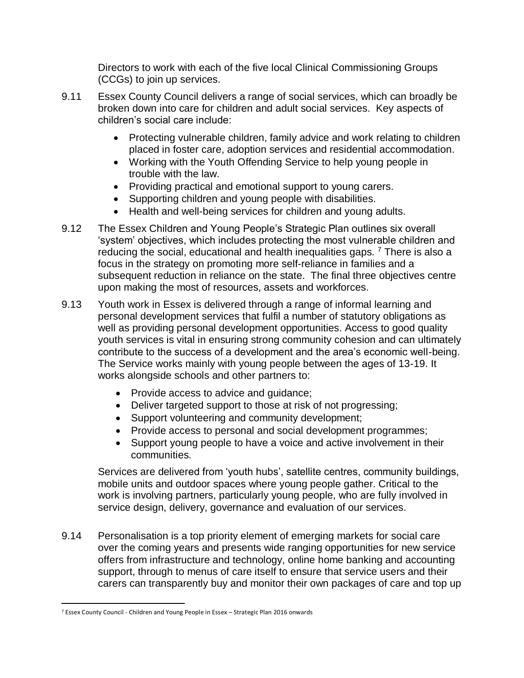Directors to work with each of the five local Clinical Commissioning Groups (CCGs) to join up services.

- 9.11 Essex County Council delivers a range of social services, which can broadly be broken down into care for children and adult social services. Key aspects of children's social care include:
	- Protecting vulnerable children, family advice and work relating to children placed in foster care, adoption services and residential accommodation.
	- Working with the Youth Offending Service to help young people in trouble with the law.
	- Providing practical and emotional support to young carers.
	- Supporting children and young people with disabilities.
	- Health and well-being services for children and young adults.
- 9.12 The Essex Children and Young People's Strategic Plan outlines six overall 'system' objectives, which includes protecting the most vulnerable children and reducing the social, educational and health inequalities gaps.<sup>7</sup> There is also a focus in the strategy on promoting more self-reliance in families and a subsequent reduction in reliance on the state. The final three objectives centre upon making the most of resources, assets and workforces.
- 9.13 Youth work in Essex is delivered through a range of informal learning and personal development services that fulfil a number of statutory obligations as well as providing personal development opportunities. Access to good quality youth services is vital in ensuring strong community cohesion and can ultimately contribute to the success of a development and the area's economic well-being. The Service works mainly with young people between the ages of 13-19. It works alongside schools and other partners to:
	- Provide access to advice and guidance;
	- Deliver targeted support to those at risk of not progressing;
	- Support volunteering and community development;
	- Provide access to personal and social development programmes;
	- Support young people to have a voice and active involvement in their communities.

Services are delivered from 'youth hubs', satellite centres, community buildings, mobile units and outdoor spaces where young people gather. Critical to the work is involving partners, particularly young people, who are fully involved in service design, delivery, governance and evaluation of our services.

9.14 Personalisation is a top priority element of emerging markets for social care over the coming years and presents wide ranging opportunities for new service offers from infrastructure and technology, online home banking and accounting support, through to menus of care itself to ensure that service users and their carers can transparently buy and monitor their own packages of care and top up

 $\overline{\phantom{a}}$ <sup>7</sup> Essex County Council - Children and Young People in Essex - Strategic Plan 2016 onwards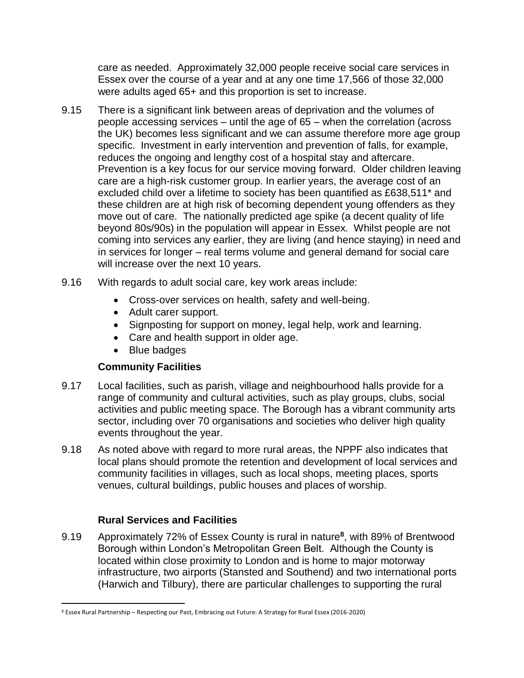care as needed. Approximately 32,000 people receive social care services in Essex over the course of a year and at any one time 17,566 of those 32,000 were adults aged 65+ and this proportion is set to increase.

- 9.15 There is a significant link between areas of deprivation and the volumes of people accessing services – until the age of 65 – when the correlation (across the UK) becomes less significant and we can assume therefore more age group specific. Investment in early intervention and prevention of falls, for example, reduces the ongoing and lengthy cost of a hospital stay and aftercare. Prevention is a key focus for our service moving forward. Older children leaving care are a high-risk customer group. In earlier years, the average cost of an excluded child over a lifetime to society has been quantified as £638,511\* and these children are at high risk of becoming dependent young offenders as they move out of care. The nationally predicted age spike (a decent quality of life beyond 80s/90s) in the population will appear in Essex. Whilst people are not coming into services any earlier, they are living (and hence staying) in need and in services for longer – real terms volume and general demand for social care will increase over the next 10 years.
- 9.16 With regards to adult social care, key work areas include:
	- Cross-over services on health, safety and well-being.
	- Adult carer support.
	- Signposting for support on money, legal help, work and learning.
	- Care and health support in older age.
	- Blue badges

#### **Community Facilities**

- 9.17 Local facilities, such as parish, village and neighbourhood halls provide for a range of community and cultural activities, such as play groups, clubs, social activities and public meeting space. The Borough has a vibrant community arts sector, including over 70 organisations and societies who deliver high quality events throughout the year.
- 9.18 As noted above with regard to more rural areas, the NPPF also indicates that local plans should promote the retention and development of local services and community facilities in villages, such as local shops, meeting places, sports venues, cultural buildings, public houses and places of worship.

#### **Rural Services and Facilities**

 $\overline{\phantom{a}}$ 

9.19 Approximately 72% of Essex County is rural in nature**<sup>8</sup>** , with 89% of Brentwood Borough within London's Metropolitan Green Belt. Although the County is located within close proximity to London and is home to major motorway infrastructure, two airports (Stansted and Southend) and two international ports (Harwich and Tilbury), there are particular challenges to supporting the rural

<sup>8</sup> Essex Rural Partnership – Respecting our Past, Embracing out Future: A Strategy for Rural Essex (2016-2020)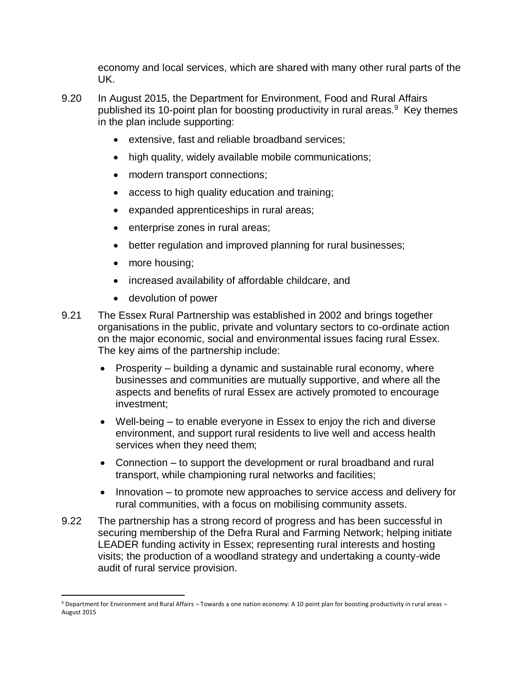economy and local services, which are shared with many other rural parts of the UK.

- 9.20 In August 2015, the Department for Environment, Food and Rural Affairs published its 10-point plan for boosting productivity in rural areas.<sup>9</sup> Key themes in the plan include supporting:
	- extensive, fast and reliable broadband services;
	- high quality, widely available mobile communications;
	- modern transport connections;
	- access to high quality education and training;
	- expanded apprenticeships in rural areas;
	- enterprise zones in rural areas;
	- better regulation and improved planning for rural businesses;
	- more housing;
	- increased availability of affordable childcare, and
	- devolution of power
- 9.21 The Essex Rural Partnership was established in 2002 and brings together organisations in the public, private and voluntary sectors to co-ordinate action on the major economic, social and environmental issues facing rural Essex. The key aims of the partnership include:
	- Prosperity building a dynamic and sustainable rural economy, where businesses and communities are mutually supportive, and where all the aspects and benefits of rural Essex are actively promoted to encourage investment;
	- Well-being to enable everyone in Essex to enjoy the rich and diverse environment, and support rural residents to live well and access health services when they need them;
	- Connection to support the development or rural broadband and rural transport, while championing rural networks and facilities;
	- Innovation to promote new approaches to service access and delivery for rural communities, with a focus on mobilising community assets.
- 9.22 The partnership has a strong record of progress and has been successful in securing membership of the Defra Rural and Farming Network; helping initiate LEADER funding activity in Essex; representing rural interests and hosting visits; the production of a woodland strategy and undertaking a county-wide audit of rural service provision.

 $\overline{a}$ <sup>9</sup> Department for Environment and Rural Affairs – Towards a one nation economy: A 10 point plan for boosting productivity in rural areas – August 2015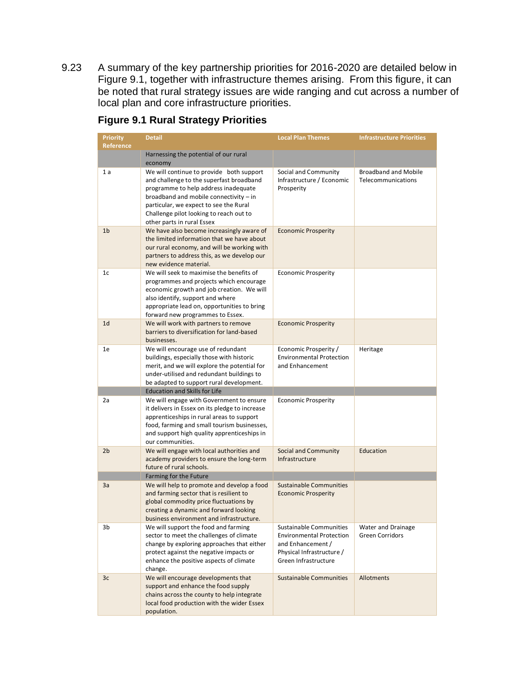9.23 A summary of the key partnership priorities for 2016-2020 are detailed below in Figure 9.1, together with infrastructure themes arising. From this figure, it can be noted that rural strategy issues are wide ranging and cut across a number of local plan and core infrastructure priorities.

| <b>Priority</b><br><b>Reference</b> | <b>Detail</b>                                                                                                                                                                                                                                                                             | <b>Local Plan Themes</b>                                                                                                             | <b>Infrastructure Priorities</b>                  |
|-------------------------------------|-------------------------------------------------------------------------------------------------------------------------------------------------------------------------------------------------------------------------------------------------------------------------------------------|--------------------------------------------------------------------------------------------------------------------------------------|---------------------------------------------------|
|                                     | Harnessing the potential of our rural<br>economy                                                                                                                                                                                                                                          |                                                                                                                                      |                                                   |
| 1 a                                 | We will continue to provide both support<br>and challenge to the superfast broadband<br>programme to help address inadequate<br>broadband and mobile connectivity - in<br>particular, we expect to see the Rural<br>Challenge pilot looking to reach out to<br>other parts in rural Essex | Social and Community<br>Infrastructure / Economic<br>Prosperity                                                                      | <b>Broadband and Mobile</b><br>Telecommunications |
| 1 <sub>b</sub>                      | We have also become increasingly aware of<br>the limited information that we have about<br>our rural economy, and will be working with<br>partners to address this, as we develop our<br>new evidence material.                                                                           | <b>Economic Prosperity</b>                                                                                                           |                                                   |
| 1c                                  | We will seek to maximise the benefits of<br>programmes and projects which encourage<br>economic growth and job creation. We will<br>also identify, support and where<br>appropriate lead on, opportunities to bring<br>forward new programmes to Essex.                                   | <b>Economic Prosperity</b>                                                                                                           |                                                   |
| 1 <sub>d</sub>                      | We will work with partners to remove<br>barriers to diversification for land-based<br>businesses.                                                                                                                                                                                         | <b>Economic Prosperity</b>                                                                                                           |                                                   |
| 1e                                  | We will encourage use of redundant<br>buildings, especially those with historic<br>merit, and we will explore the potential for<br>under-utilised and redundant buildings to<br>be adapted to support rural development.                                                                  | Economic Prosperity /<br><b>Environmental Protection</b><br>and Enhancement                                                          | Heritage                                          |
|                                     | <b>Education and Skills for Life</b>                                                                                                                                                                                                                                                      |                                                                                                                                      |                                                   |
| 2a                                  | We will engage with Government to ensure<br>it delivers in Essex on its pledge to increase<br>apprenticeships in rural areas to support<br>food, farming and small tourism businesses,<br>and support high quality apprenticeships in<br>our communities.                                 | <b>Economic Prosperity</b>                                                                                                           |                                                   |
| 2 <sub>b</sub>                      | We will engage with local authorities and<br>academy providers to ensure the long-term<br>future of rural schools.                                                                                                                                                                        | Social and Community<br>Infrastructure                                                                                               | Education                                         |
|                                     | Farming for the Future                                                                                                                                                                                                                                                                    |                                                                                                                                      |                                                   |
| 3a                                  | We will help to promote and develop a food<br>and farming sector that is resilient to<br>global commodity price fluctuations by<br>creating a dynamic and forward looking<br>business environment and infrastructure.                                                                     | <b>Sustainable Communities</b><br><b>Economic Prosperity</b>                                                                         |                                                   |
| 3b                                  | We will support the food and farming<br>sector to meet the challenges of climate<br>change by exploring approaches that either<br>protect against the negative impacts or<br>enhance the positive aspects of climate<br>change.                                                           | Sustainable Communities<br><b>Environmental Protection</b><br>and Enhancement /<br>Physical Infrastructure /<br>Green Infrastructure | Water and Drainage<br><b>Green Corridors</b>      |
| 3 <sub>c</sub>                      | We will encourage developments that<br>support and enhance the food supply<br>chains across the county to help integrate<br>local food production with the wider Essex<br>population.                                                                                                     | <b>Sustainable Communities</b>                                                                                                       | Allotments                                        |

#### **Figure 9.1 Rural Strategy Priorities**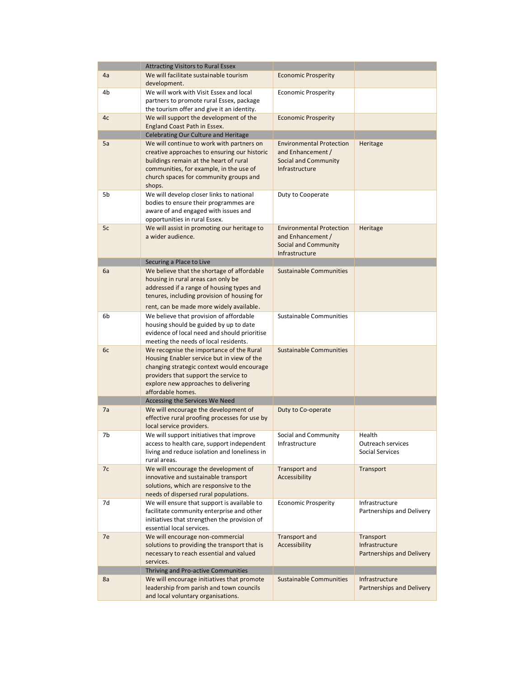|    | <b>Attracting Visitors to Rural Essex</b>                                                                                                                                                                                                  |                                                                                                       |                                                          |
|----|--------------------------------------------------------------------------------------------------------------------------------------------------------------------------------------------------------------------------------------------|-------------------------------------------------------------------------------------------------------|----------------------------------------------------------|
| 4a | We will facilitate sustainable tourism<br>development.                                                                                                                                                                                     | <b>Economic Prosperity</b>                                                                            |                                                          |
| 4b | We will work with Visit Essex and local<br>partners to promote rural Essex, package<br>the tourism offer and give it an identity.                                                                                                          | <b>Economic Prosperity</b>                                                                            |                                                          |
| 4c | We will support the development of the<br>England Coast Path in Essex.                                                                                                                                                                     | <b>Economic Prosperity</b>                                                                            |                                                          |
|    | Celebrating Our Culture and Heritage                                                                                                                                                                                                       |                                                                                                       |                                                          |
| 5a | We will continue to work with partners on<br>creative approaches to ensuring our historic<br>buildings remain at the heart of rural<br>communities, for example, in the use of<br>church spaces for community groups and<br>shops.         | <b>Environmental Protection</b><br>and Enhancement /<br><b>Social and Community</b><br>Infrastructure | Heritage                                                 |
| 5b | We will develop closer links to national<br>bodies to ensure their programmes are<br>aware of and engaged with issues and<br>opportunities in rural Essex.                                                                                 | Duty to Cooperate                                                                                     |                                                          |
| 5c | We will assist in promoting our heritage to<br>a wider audience.                                                                                                                                                                           | <b>Environmental Protection</b><br>and Enhancement /<br>Social and Community<br>Infrastructure        | Heritage                                                 |
|    | Securing a Place to Live                                                                                                                                                                                                                   |                                                                                                       |                                                          |
| 6a | We believe that the shortage of affordable<br>housing in rural areas can only be<br>addressed if a range of housing types and<br>tenures, including provision of housing for                                                               | <b>Sustainable Communities</b>                                                                        |                                                          |
|    | rent, can be made more widely available.                                                                                                                                                                                                   |                                                                                                       |                                                          |
| 6b | We believe that provision of affordable<br>housing should be guided by up to date<br>evidence of local need and should prioritise<br>meeting the needs of local residents.                                                                 | Sustainable Communities                                                                               |                                                          |
| 6c | We recognise the importance of the Rural<br>Housing Enabler service but in view of the<br>changing strategic context would encourage<br>providers that support the service to<br>explore new approaches to delivering<br>affordable homes. | <b>Sustainable Communities</b>                                                                        |                                                          |
|    | Accessing the Services We Need                                                                                                                                                                                                             |                                                                                                       |                                                          |
| 7a | We will encourage the development of<br>effective rural proofing processes for use by<br>local service providers.                                                                                                                          | Duty to Co-operate                                                                                    |                                                          |
| 7b | We will support initiatives that improve<br>access to health care, support independent<br>living and reduce isolation and loneliness in<br>rural areas.                                                                                    | Social and Community<br>Infrastructure                                                                | Health<br>Outreach services<br><b>Social Services</b>    |
| 7c | We will encourage the development of<br>innovative and sustainable transport<br>solutions, which are responsive to the<br>needs of dispersed rural populations.                                                                            | Transport and<br>Accessibility                                                                        | Transport                                                |
| 7d | We will ensure that support is available to<br>facilitate community enterprise and other<br>initiatives that strengthen the provision of<br>essential local services.                                                                      | <b>Economic Prosperity</b>                                                                            | Infrastructure<br>Partnerships and Delivery              |
| 7e | We will encourage non-commercial<br>solutions to providing the transport that is<br>necessary to reach essential and valued<br>services.                                                                                                   | Transport and<br>Accessibility                                                                        | Transport<br>Infrastructure<br>Partnerships and Delivery |
|    | Thriving and Pro-active Communities                                                                                                                                                                                                        |                                                                                                       |                                                          |
| 8a | We will encourage initiatives that promote<br>leadership from parish and town councils<br>and local voluntary organisations.                                                                                                               | <b>Sustainable Communities</b>                                                                        | Infrastructure<br>Partnerships and Delivery              |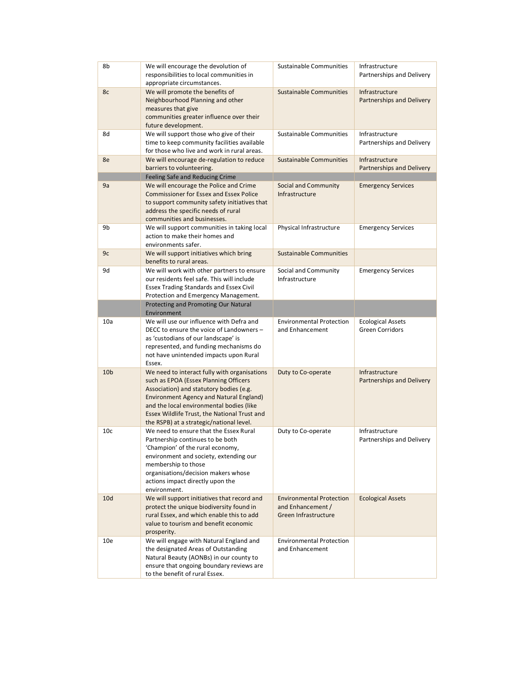| 8b              | We will encourage the devolution of<br>responsibilities to local communities in<br>appropriate circumstances.                                                                                                                                                                                                              | Sustainable Communities                                                      | Infrastructure<br>Partnerships and Delivery        |
|-----------------|----------------------------------------------------------------------------------------------------------------------------------------------------------------------------------------------------------------------------------------------------------------------------------------------------------------------------|------------------------------------------------------------------------------|----------------------------------------------------|
| 8c              | We will promote the benefits of<br>Neighbourhood Planning and other<br>measures that give<br>communities greater influence over their<br>future development.                                                                                                                                                               | <b>Sustainable Communities</b>                                               | Infrastructure<br><b>Partnerships and Delivery</b> |
| 8d              | We will support those who give of their<br>time to keep community facilities available<br>for those who live and work in rural areas.                                                                                                                                                                                      | Sustainable Communities                                                      | Infrastructure<br>Partnerships and Delivery        |
| 8e              | We will encourage de-regulation to reduce<br>barriers to volunteering.                                                                                                                                                                                                                                                     | <b>Sustainable Communities</b>                                               | Infrastructure<br>Partnerships and Delivery        |
| 9a              | Feeling Safe and Reducing Crime<br>We will encourage the Police and Crime                                                                                                                                                                                                                                                  | Social and Community                                                         | <b>Emergency Services</b>                          |
|                 | <b>Commissioner for Essex and Essex Police</b><br>to support community safety initiatives that<br>address the specific needs of rural<br>communities and businesses.                                                                                                                                                       | Infrastructure                                                               |                                                    |
| 9b              | We will support communities in taking local<br>action to make their homes and<br>environments safer.                                                                                                                                                                                                                       | Physical Infrastructure                                                      | <b>Emergency Services</b>                          |
| 9c              | We will support initiatives which bring<br>benefits to rural areas.                                                                                                                                                                                                                                                        | <b>Sustainable Communities</b>                                               |                                                    |
| 9d              | We will work with other partners to ensure<br>our residents feel safe. This will include<br><b>Essex Trading Standards and Essex Civil</b><br>Protection and Emergency Management.                                                                                                                                         | Social and Community<br>Infrastructure                                       | <b>Emergency Services</b>                          |
|                 | Protecting and Promoting Our Natural<br>Environment                                                                                                                                                                                                                                                                        |                                                                              |                                                    |
| 10a             | We will use our influence with Defra and<br>DECC to ensure the voice of Landowners -<br>as 'custodians of our landscape' is<br>represented, and funding mechanisms do<br>not have unintended impacts upon Rural<br>Essex.                                                                                                  | <b>Environmental Protection</b><br>and Enhancement                           | <b>Ecological Assets</b><br>Green Corridors        |
| 10 <sub>b</sub> | We need to interact fully with organisations<br>such as EPOA (Essex Planning Officers<br>Association) and statutory bodies (e.g.<br><b>Environment Agency and Natural England)</b><br>and the local environmental bodies (like<br>Essex Wildlife Trust, the National Trust and<br>the RSPB) at a strategic/national level. | Duty to Co-operate                                                           | Infrastructure<br>Partnerships and Delivery        |
| 10 <sub>c</sub> | We need to ensure that the Essex Rural<br>Partnership continues to be both<br>'Champion' of the rural economy,<br>environment and society, extending our<br>membership to those<br>organisations/decision makers whose<br>actions impact directly upon the<br>environment.                                                 | Duty to Co-operate                                                           | Infrastructure<br>Partnerships and Delivery        |
| 10d             | We will support initiatives that record and<br>protect the unique biodiversity found in<br>rural Essex, and which enable this to add<br>value to tourism and benefit economic<br>prosperity.                                                                                                                               | <b>Environmental Protection</b><br>and Enhancement /<br>Green Infrastructure | <b>Ecological Assets</b>                           |
| 10e             | We will engage with Natural England and<br>the designated Areas of Outstanding<br>Natural Beauty (AONBs) in our county to<br>ensure that ongoing boundary reviews are<br>to the benefit of rural Essex.                                                                                                                    | <b>Environmental Protection</b><br>and Enhancement                           |                                                    |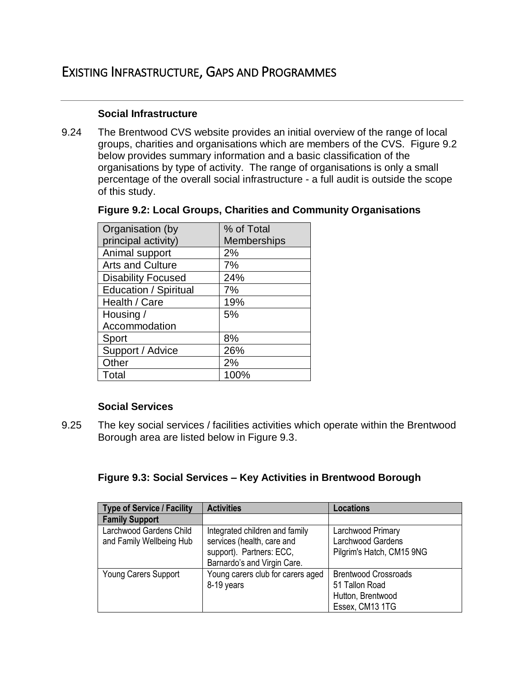#### **Social Infrastructure**

9.24 The Brentwood CVS website provides an initial overview of the range of local groups, charities and organisations which are members of the CVS. Figure 9.2 below provides summary information and a basic classification of the organisations by type of activity. The range of organisations is only a small percentage of the overall social infrastructure - a full audit is outside the scope of this study.

#### **Figure 9.2: Local Groups, Charities and Community Organisations**

| Organisation (by             | % of Total         |
|------------------------------|--------------------|
| principal activity)          | <b>Memberships</b> |
| Animal support               | 2%                 |
| <b>Arts and Culture</b>      | 7%                 |
| <b>Disability Focused</b>    | 24%                |
| <b>Education / Spiritual</b> | 7%                 |
| Health / Care                | 19%                |
| Housing /                    | 5%                 |
| Accommodation                |                    |
| Sport                        | 8%                 |
| Support / Advice             | 26%                |
| Other                        | 2%                 |
| Total                        | 100%               |

#### **Social Services**

9.25 The key social services / facilities activities which operate within the Brentwood Borough area are listed below in Figure 9.3.

#### **Figure 9.3: Social Services – Key Activities in Brentwood Borough**

| <b>Type of Service / Facility</b> | <b>Activities</b>                 | <b>Locations</b>            |
|-----------------------------------|-----------------------------------|-----------------------------|
| <b>Family Support</b>             |                                   |                             |
| Larchwood Gardens Child           | Integrated children and family    | Larchwood Primary           |
| and Family Wellbeing Hub          | services (health, care and        | Larchwood Gardens           |
|                                   | support). Partners: ECC,          | Pilgrim's Hatch, CM15 9NG   |
|                                   | Barnardo's and Virgin Care.       |                             |
| <b>Young Carers Support</b>       | Young carers club for carers aged | <b>Brentwood Crossroads</b> |
|                                   | 8-19 years                        | 51 Tallon Road              |
|                                   |                                   | Hutton, Brentwood           |
|                                   |                                   | Essex, CM13 1TG             |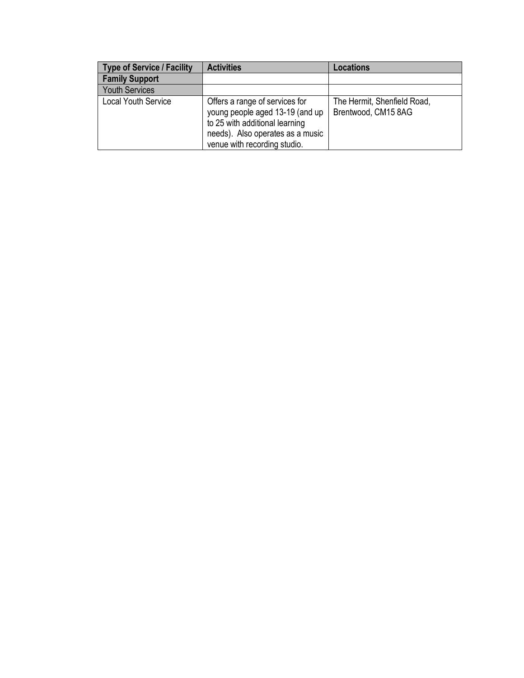| <b>Type of Service / Facility</b> | <b>Activities</b>                                                                                                                                                       | Locations                                          |
|-----------------------------------|-------------------------------------------------------------------------------------------------------------------------------------------------------------------------|----------------------------------------------------|
| <b>Family Support</b>             |                                                                                                                                                                         |                                                    |
| <b>Youth Services</b>             |                                                                                                                                                                         |                                                    |
| <b>Local Youth Service</b>        | Offers a range of services for<br>young people aged 13-19 (and up<br>to 25 with additional learning<br>needs). Also operates as a music<br>venue with recording studio. | The Hermit, Shenfield Road,<br>Brentwood, CM15 8AG |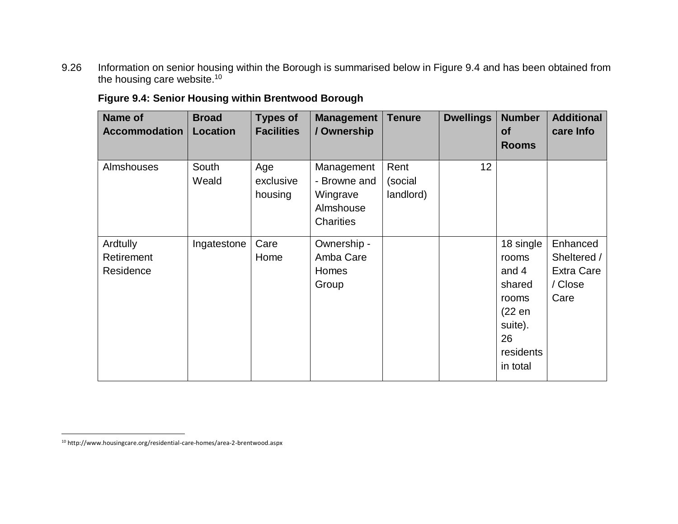9.26 Information on senior housing within the Borough is summarised below in Figure 9.4 and has been obtained from the housing care website.<sup>10</sup>

| Name of<br><b>Accommodation</b>     | <b>Broad</b><br>Location | <b>Types of</b><br><b>Facilities</b> | <b>Management</b><br>/ Ownership                                 | <b>Tenure</b>                | <b>Dwellings</b> | <b>Number</b><br>of<br><b>Rooms</b>                                                                | <b>Additional</b><br>care Info                                  |
|-------------------------------------|--------------------------|--------------------------------------|------------------------------------------------------------------|------------------------------|------------------|----------------------------------------------------------------------------------------------------|-----------------------------------------------------------------|
| Almshouses                          | South<br>Weald           | Age<br>exclusive<br>housing          | Management<br>- Browne and<br>Wingrave<br>Almshouse<br>Charities | Rent<br>(social<br>landlord) | 12               |                                                                                                    |                                                                 |
| Ardtully<br>Retirement<br>Residence | Ingatestone              | Care<br>Home                         | Ownership -<br>Amba Care<br>Homes<br>Group                       |                              |                  | 18 single<br>rooms<br>and 4<br>shared<br>rooms<br>(22 en<br>suite).<br>26<br>residents<br>in total | Enhanced<br>Sheltered /<br><b>Extra Care</b><br>/ Close<br>Care |

**Figure 9.4: Senior Housing within Brentwood Borough**

 $\overline{\phantom{a}}$ 

<sup>10</sup> http://www.housingcare.org/residential-care-homes/area-2-brentwood.aspx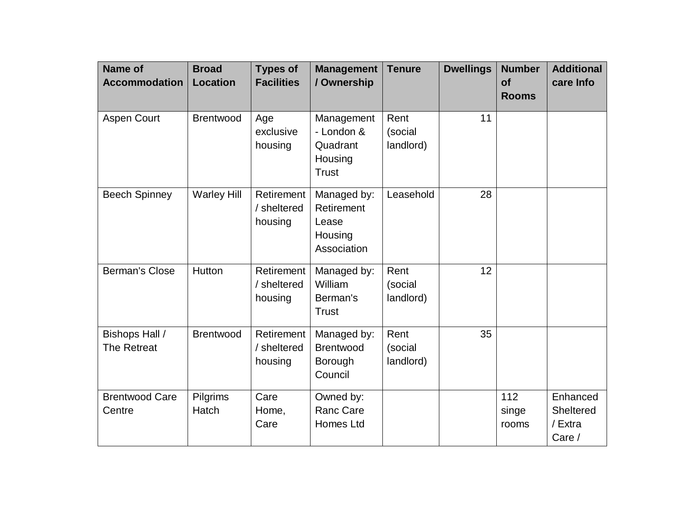| <b>Name of</b><br><b>Accommodation</b> | <b>Broad</b><br><b>Location</b> | <b>Types of</b><br><b>Facilities</b> | <b>Management</b><br>/ Ownership                                | <b>Tenure</b>                | <b>Dwellings</b> | <b>Number</b><br><b>of</b><br><b>Rooms</b> | <b>Additional</b><br>care Info             |
|----------------------------------------|---------------------------------|--------------------------------------|-----------------------------------------------------------------|------------------------------|------------------|--------------------------------------------|--------------------------------------------|
| <b>Aspen Court</b>                     | <b>Brentwood</b>                | Age<br>exclusive<br>housing          | Management<br>- London &<br>Quadrant<br>Housing<br><b>Trust</b> | Rent<br>(social<br>landlord) | 11               |                                            |                                            |
| <b>Beech Spinney</b>                   | <b>Warley Hill</b>              | Retirement<br>/ sheltered<br>housing | Managed by:<br>Retirement<br>Lease<br>Housing<br>Association    | Leasehold                    | 28               |                                            |                                            |
| <b>Berman's Close</b>                  | Hutton                          | Retirement<br>/ sheltered<br>housing | Managed by:<br>William<br>Berman's<br><b>Trust</b>              | Rent<br>(social<br>landlord) | 12               |                                            |                                            |
| Bishops Hall /<br><b>The Retreat</b>   | <b>Brentwood</b>                | Retirement<br>/ sheltered<br>housing | Managed by:<br><b>Brentwood</b><br>Borough<br>Council           | Rent<br>(social<br>landlord) | 35               |                                            |                                            |
| <b>Brentwood Care</b><br>Centre        | Pilgrims<br>Hatch               | Care<br>Home,<br>Care                | Owned by:<br><b>Ranc Care</b><br>Homes Ltd                      |                              |                  | 112<br>singe<br>rooms                      | Enhanced<br>Sheltered<br>/ Extra<br>Care / |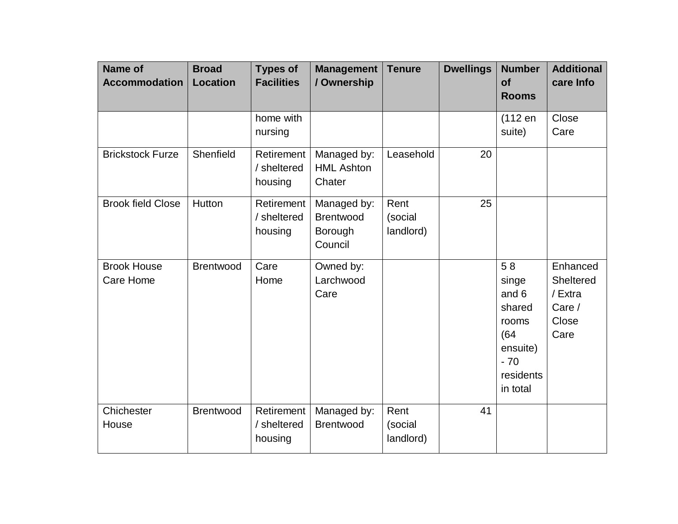| <b>Name of</b><br><b>Accommodation</b> | <b>Broad</b><br><b>Location</b> | <b>Types of</b><br><b>Facilities</b> | <b>Management</b><br>/ Ownership                      | <b>Tenure</b>                | <b>Dwellings</b> | <b>Number</b><br><b>of</b><br><b>Rooms</b>                                                    | <b>Additional</b><br>care Info                              |
|----------------------------------------|---------------------------------|--------------------------------------|-------------------------------------------------------|------------------------------|------------------|-----------------------------------------------------------------------------------------------|-------------------------------------------------------------|
|                                        |                                 | home with<br>nursing                 |                                                       |                              |                  | (112 en<br>suite)                                                                             | Close<br>Care                                               |
| <b>Brickstock Furze</b>                | Shenfield                       | Retirement<br>/ sheltered<br>housing | Managed by:<br><b>HML Ashton</b><br>Chater            | Leasehold                    | 20               |                                                                                               |                                                             |
| <b>Brook field Close</b>               | Hutton                          | Retirement<br>/ sheltered<br>housing | Managed by:<br><b>Brentwood</b><br>Borough<br>Council | Rent<br>(social<br>landlord) | 25               |                                                                                               |                                                             |
| <b>Brook House</b><br>Care Home        | <b>Brentwood</b>                | Care<br>Home                         | Owned by:<br>Larchwood<br>Care                        |                              |                  | 58<br>singe<br>and 6<br>shared<br>rooms<br>(64)<br>ensuite)<br>$-70$<br>residents<br>in total | Enhanced<br>Sheltered<br>/ Extra<br>Care /<br>Close<br>Care |
| Chichester<br>House                    | <b>Brentwood</b>                | Retirement<br>/ sheltered<br>housing | Managed by:<br><b>Brentwood</b>                       | Rent<br>(social<br>landlord) | 41               |                                                                                               |                                                             |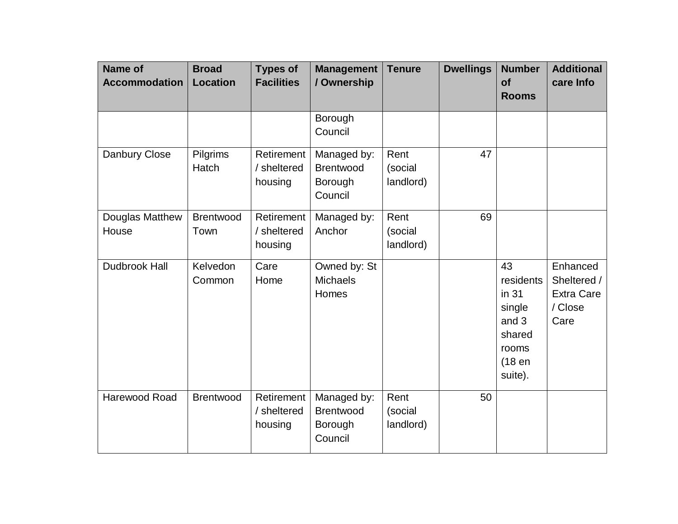| <b>Name of</b><br><b>Accommodation</b> | <b>Broad</b><br><b>Location</b> | <b>Types of</b><br><b>Facilities</b> | <b>Management</b><br>/ Ownership                      | <b>Tenure</b>                | <b>Dwellings</b> | <b>Number</b><br>of<br><b>Rooms</b>                                                | <b>Additional</b><br>care Info                                  |
|----------------------------------------|---------------------------------|--------------------------------------|-------------------------------------------------------|------------------------------|------------------|------------------------------------------------------------------------------------|-----------------------------------------------------------------|
|                                        |                                 |                                      | Borough<br>Council                                    |                              |                  |                                                                                    |                                                                 |
| Danbury Close                          | Pilgrims<br>Hatch               | Retirement<br>/ sheltered<br>housing | Managed by:<br><b>Brentwood</b><br>Borough<br>Council | Rent<br>(social<br>landlord) | 47               |                                                                                    |                                                                 |
| Douglas Matthew<br>House               | <b>Brentwood</b><br>Town        | Retirement<br>/ sheltered<br>housing | Managed by:<br>Anchor                                 | Rent<br>(social<br>landlord) | 69               |                                                                                    |                                                                 |
| <b>Dudbrook Hall</b>                   | Kelvedon<br>Common              | Care<br>Home                         | Owned by: St<br><b>Michaels</b><br>Homes              |                              |                  | 43<br>residents<br>in 31<br>single<br>and 3<br>shared<br>rooms<br>(18en<br>suite). | Enhanced<br>Sheltered /<br><b>Extra Care</b><br>/ Close<br>Care |
| Harewood Road                          | <b>Brentwood</b>                | Retirement<br>/ sheltered<br>housing | Managed by:<br><b>Brentwood</b><br>Borough<br>Council | Rent<br>(social<br>landlord) | 50               |                                                                                    |                                                                 |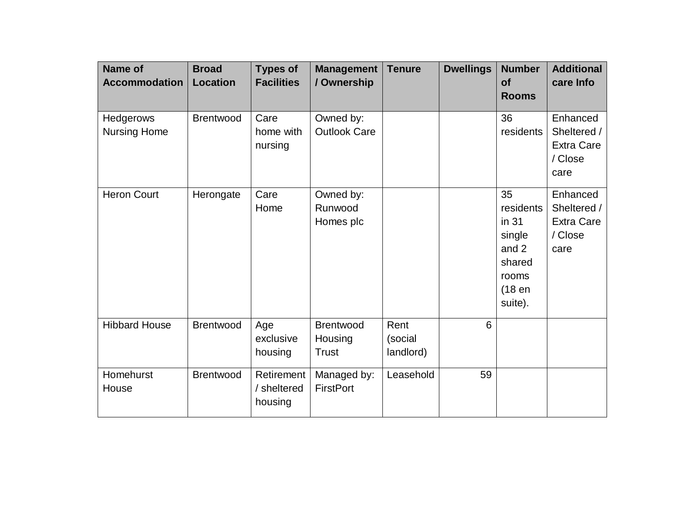| <b>Name of</b><br><b>Accommodation</b> | <b>Broad</b><br><b>Location</b> | <b>Types of</b><br><b>Facilities</b> | <b>Management</b><br>/ Ownership            | <b>Tenure</b>                | <b>Dwellings</b> | <b>Number</b><br>of<br><b>Rooms</b>                                                 | <b>Additional</b><br>care Info                                  |
|----------------------------------------|---------------------------------|--------------------------------------|---------------------------------------------|------------------------------|------------------|-------------------------------------------------------------------------------------|-----------------------------------------------------------------|
| Hedgerows<br><b>Nursing Home</b>       | <b>Brentwood</b>                | Care<br>home with<br>nursing         | Owned by:<br><b>Outlook Care</b>            |                              |                  | 36<br>residents                                                                     | Enhanced<br>Sheltered /<br><b>Extra Care</b><br>/ Close<br>care |
| <b>Heron Court</b>                     | Herongate                       | Care<br>Home                         | Owned by:<br>Runwood<br>Homes plc           |                              |                  | 35<br>residents<br>in 31<br>single<br>and 2<br>shared<br>rooms<br>(18en)<br>suite). | Enhanced<br>Sheltered /<br><b>Extra Care</b><br>/ Close<br>care |
| <b>Hibbard House</b>                   | Brentwood                       | Age<br>exclusive<br>housing          | <b>Brentwood</b><br>Housing<br><b>Trust</b> | Rent<br>(social<br>landlord) | 6                |                                                                                     |                                                                 |
| Homehurst<br>House                     | <b>Brentwood</b>                | Retirement<br>/ sheltered<br>housing | Managed by:<br><b>FirstPort</b>             | Leasehold                    | 59               |                                                                                     |                                                                 |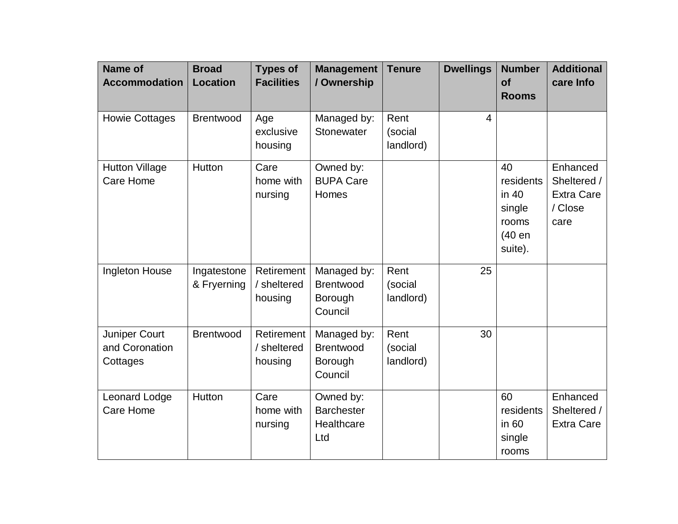| <b>Name of</b><br><b>Accommodation</b>      | <b>Broad</b><br><b>Location</b> | <b>Types of</b><br><b>Facilities</b> | <b>Management</b><br>/ Ownership                      | <b>Tenure</b>                | <b>Dwellings</b> | <b>Number</b><br><b>of</b><br><b>Rooms</b>                       | <b>Additional</b><br>care Info                                  |
|---------------------------------------------|---------------------------------|--------------------------------------|-------------------------------------------------------|------------------------------|------------------|------------------------------------------------------------------|-----------------------------------------------------------------|
| <b>Howie Cottages</b>                       | <b>Brentwood</b>                | Age<br>exclusive<br>housing          | Managed by:<br>Stonewater                             | Rent<br>(social<br>landlord) | $\overline{4}$   |                                                                  |                                                                 |
| <b>Hutton Village</b><br><b>Care Home</b>   | Hutton                          | Care<br>home with<br>nursing         | Owned by:<br><b>BUPA Care</b><br>Homes                |                              |                  | 40<br>residents<br>in 40<br>single<br>rooms<br>(40 en<br>suite). | Enhanced<br>Sheltered /<br><b>Extra Care</b><br>/ Close<br>care |
| Ingleton House                              | Ingatestone<br>& Fryerning      | Retirement<br>/ sheltered<br>housing | Managed by:<br>Brentwood<br>Borough<br>Council        | Rent<br>(social<br>landlord) | 25               |                                                                  |                                                                 |
| Juniper Court<br>and Coronation<br>Cottages | <b>Brentwood</b>                | Retirement<br>/ sheltered<br>housing | Managed by:<br><b>Brentwood</b><br>Borough<br>Council | Rent<br>(social<br>landlord) | 30               |                                                                  |                                                                 |
| Leonard Lodge<br>Care Home                  | Hutton                          | Care<br>home with<br>nursing         | Owned by:<br><b>Barchester</b><br>Healthcare<br>Ltd   |                              |                  | 60<br>residents<br>in 60<br>single<br>rooms                      | Enhanced<br>Sheltered /<br>Extra Care                           |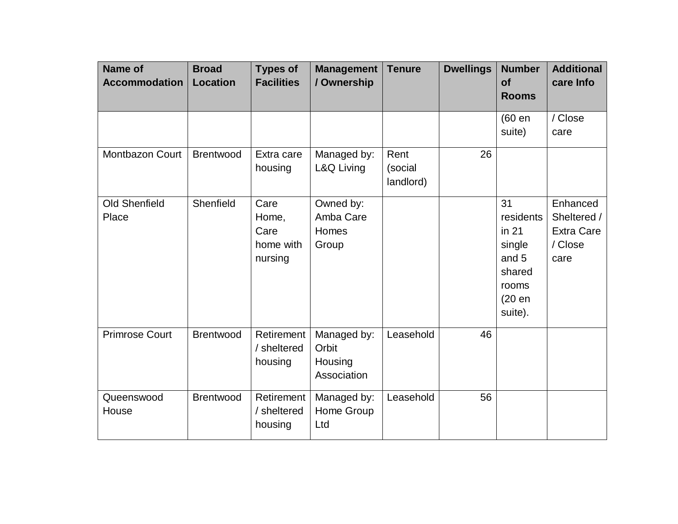| <b>Name of</b><br><b>Accommodation</b> | <b>Broad</b><br><b>Location</b> | <b>Types of</b><br><b>Facilities</b>          | <b>Management</b><br>/ Ownership               | <b>Tenure</b>                | <b>Dwellings</b> | <b>Number</b><br><b>of</b><br><b>Rooms</b>                                          | <b>Additional</b><br>care Info                                  |
|----------------------------------------|---------------------------------|-----------------------------------------------|------------------------------------------------|------------------------------|------------------|-------------------------------------------------------------------------------------|-----------------------------------------------------------------|
|                                        |                                 |                                               |                                                |                              |                  | (60 en<br>suite)                                                                    | / Close<br>care                                                 |
| <b>Montbazon Court</b>                 | <b>Brentwood</b>                | Extra care<br>housing                         | Managed by:<br>L&Q Living                      | Rent<br>(social<br>landlord) | 26               |                                                                                     |                                                                 |
| <b>Old Shenfield</b><br>Place          | Shenfield                       | Care<br>Home,<br>Care<br>home with<br>nursing | Owned by:<br>Amba Care<br>Homes<br>Group       |                              |                  | 31<br>residents<br>in 21<br>single<br>and 5<br>shared<br>rooms<br>(20 en<br>suite). | Enhanced<br>Sheltered /<br><b>Extra Care</b><br>/ Close<br>care |
| <b>Primrose Court</b>                  | <b>Brentwood</b>                | Retirement<br>/ sheltered<br>housing          | Managed by:<br>Orbit<br>Housing<br>Association | Leasehold                    | 46               |                                                                                     |                                                                 |
| Queenswood<br>House                    | <b>Brentwood</b>                | Retirement<br>/ sheltered<br>housing          | Managed by:<br>Home Group<br>Ltd               | Leasehold                    | 56               |                                                                                     |                                                                 |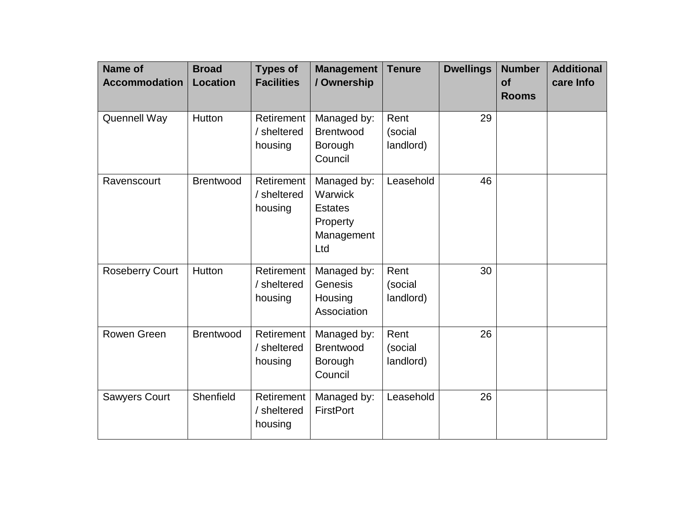| <b>Name of</b><br><b>Accommodation</b> | <b>Broad</b><br><b>Location</b> | <b>Types of</b><br><b>Facilities</b> | <b>Management</b><br>/ Ownership                                          | <b>Tenure</b>                | <b>Dwellings</b> | <b>Number</b><br><b>of</b><br><b>Rooms</b> | <b>Additional</b><br>care Info |
|----------------------------------------|---------------------------------|--------------------------------------|---------------------------------------------------------------------------|------------------------------|------------------|--------------------------------------------|--------------------------------|
| <b>Quennell Way</b>                    | Hutton                          | Retirement<br>/ sheltered<br>housing | Managed by:<br><b>Brentwood</b><br>Borough<br>Council                     | Rent<br>(social<br>landlord) | 29               |                                            |                                |
| Ravenscourt                            | <b>Brentwood</b>                | Retirement<br>/ sheltered<br>housing | Managed by:<br>Warwick<br><b>Estates</b><br>Property<br>Management<br>Ltd | Leasehold                    | 46               |                                            |                                |
| <b>Roseberry Court</b>                 | Hutton                          | Retirement<br>/ sheltered<br>housing | Managed by:<br>Genesis<br>Housing<br>Association                          | Rent<br>(social<br>landlord) | 30               |                                            |                                |
| Rowen Green                            | <b>Brentwood</b>                | Retirement<br>/ sheltered<br>housing | Managed by:<br><b>Brentwood</b><br>Borough<br>Council                     | Rent<br>(social<br>landlord) | 26               |                                            |                                |
| <b>Sawyers Court</b>                   | Shenfield                       | Retirement<br>/ sheltered<br>housing | Managed by:<br><b>FirstPort</b>                                           | Leasehold                    | 26               |                                            |                                |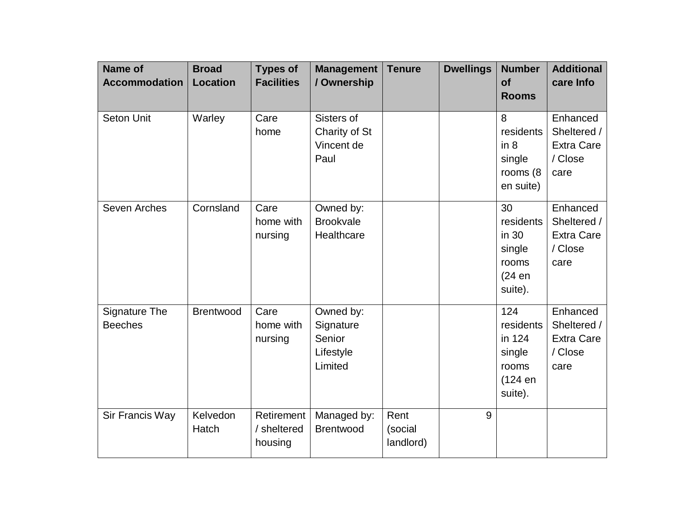| <b>Name of</b><br><b>Accommodation</b> | <b>Broad</b><br><b>Location</b> | <b>Types of</b><br><b>Facilities</b> | <b>Management</b><br>/ Ownership                         | <b>Tenure</b>                | <b>Dwellings</b> | <b>Number</b><br>of<br><b>Rooms</b>                                 | <b>Additional</b><br>care Info                                  |
|----------------------------------------|---------------------------------|--------------------------------------|----------------------------------------------------------|------------------------------|------------------|---------------------------------------------------------------------|-----------------------------------------------------------------|
| <b>Seton Unit</b>                      | Warley                          | Care<br>home                         | Sisters of<br>Charity of St<br>Vincent de<br>Paul        |                              |                  | 8<br>residents<br>in 8<br>single<br>rooms (8<br>en suite)           | Enhanced<br>Sheltered /<br><b>Extra Care</b><br>/ Close<br>care |
| Seven Arches                           | Cornsland                       | Care<br>home with<br>nursing         | Owned by:<br><b>Brookvale</b><br>Healthcare              |                              |                  | 30<br>residents<br>in 30<br>single<br>rooms<br>(24 en<br>suite).    | Enhanced<br>Sheltered /<br><b>Extra Care</b><br>/ Close<br>care |
| <b>Signature The</b><br><b>Beeches</b> | Brentwood                       | Care<br>home with<br>nursing         | Owned by:<br>Signature<br>Senior<br>Lifestyle<br>Limited |                              |                  | 124<br>residents<br>in 124<br>single<br>rooms<br>(124 en<br>suite). | Enhanced<br>Sheltered /<br><b>Extra Care</b><br>/ Close<br>care |
| Sir Francis Way                        | Kelvedon<br>Hatch               | Retirement<br>/ sheltered<br>housing | Managed by:<br><b>Brentwood</b>                          | Rent<br>(social<br>landlord) | 9                |                                                                     |                                                                 |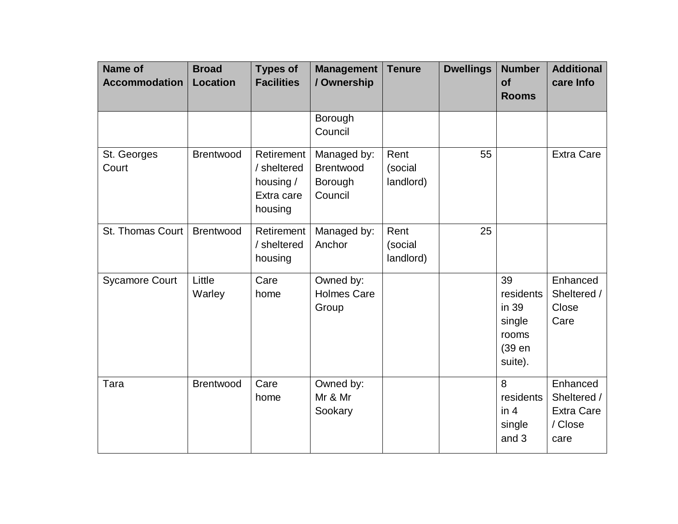| Name of<br><b>Accommodation</b> | <b>Broad</b><br><b>Location</b> | <b>Types of</b><br><b>Facilities</b>                            | <b>Management</b><br>/ Ownership               | <b>Tenure</b>                | <b>Dwellings</b> | <b>Number</b><br><b>of</b><br><b>Rooms</b>                       | <b>Additional</b><br>care Info                                  |
|---------------------------------|---------------------------------|-----------------------------------------------------------------|------------------------------------------------|------------------------------|------------------|------------------------------------------------------------------|-----------------------------------------------------------------|
|                                 |                                 |                                                                 | Borough<br>Council                             |                              |                  |                                                                  |                                                                 |
| St. Georges<br>Court            | <b>Brentwood</b>                | Retirement<br>/ sheltered<br>housing /<br>Extra care<br>housing | Managed by:<br>Brentwood<br>Borough<br>Council | Rent<br>(social<br>landlord) | 55               |                                                                  | <b>Extra Care</b>                                               |
| St. Thomas Court                | <b>Brentwood</b>                | Retirement<br>/ sheltered<br>housing                            | Managed by:<br>Anchor                          | Rent<br>(social<br>landlord) | 25               |                                                                  |                                                                 |
| <b>Sycamore Court</b>           | Little<br>Warley                | Care<br>home                                                    | Owned by:<br><b>Holmes Care</b><br>Group       |                              |                  | 39<br>residents<br>in 39<br>single<br>rooms<br>(39 en<br>suite). | Enhanced<br>Sheltered /<br>Close<br>Care                        |
| Tara                            | <b>Brentwood</b>                | Care<br>home                                                    | Owned by:<br>Mr & Mr<br>Sookary                |                              |                  | 8<br>residents<br>in 4<br>single<br>and 3                        | Enhanced<br>Sheltered /<br><b>Extra Care</b><br>/ Close<br>care |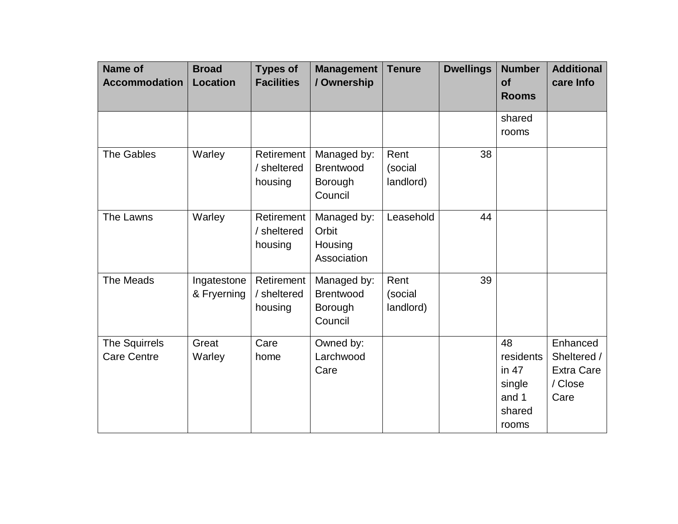| Name of<br><b>Accommodation</b>     | <b>Broad</b><br><b>Location</b> | <b>Types of</b><br><b>Facilities</b> | <b>Management</b><br>/ Ownership                      | <b>Tenure</b>                | <b>Dwellings</b> | <b>Number</b><br><b>of</b><br><b>Rooms</b>                       | <b>Additional</b><br>care Info                                  |
|-------------------------------------|---------------------------------|--------------------------------------|-------------------------------------------------------|------------------------------|------------------|------------------------------------------------------------------|-----------------------------------------------------------------|
|                                     |                                 |                                      |                                                       |                              |                  | shared<br>rooms                                                  |                                                                 |
| The Gables                          | Warley                          | Retirement<br>/ sheltered<br>housing | Managed by:<br>Brentwood<br>Borough<br>Council        | Rent<br>(social<br>landlord) | 38               |                                                                  |                                                                 |
| The Lawns                           | Warley                          | Retirement<br>/ sheltered<br>housing | Managed by:<br>Orbit<br>Housing<br>Association        | Leasehold                    | 44               |                                                                  |                                                                 |
| The Meads                           | Ingatestone<br>& Fryerning      | Retirement<br>/ sheltered<br>housing | Managed by:<br><b>Brentwood</b><br>Borough<br>Council | Rent<br>(social<br>landlord) | 39               |                                                                  |                                                                 |
| The Squirrels<br><b>Care Centre</b> | Great<br>Warley                 | Care<br>home                         | Owned by:<br>Larchwood<br>Care                        |                              |                  | 48<br>residents<br>in $47$<br>single<br>and 1<br>shared<br>rooms | Enhanced<br>Sheltered /<br><b>Extra Care</b><br>/ Close<br>Care |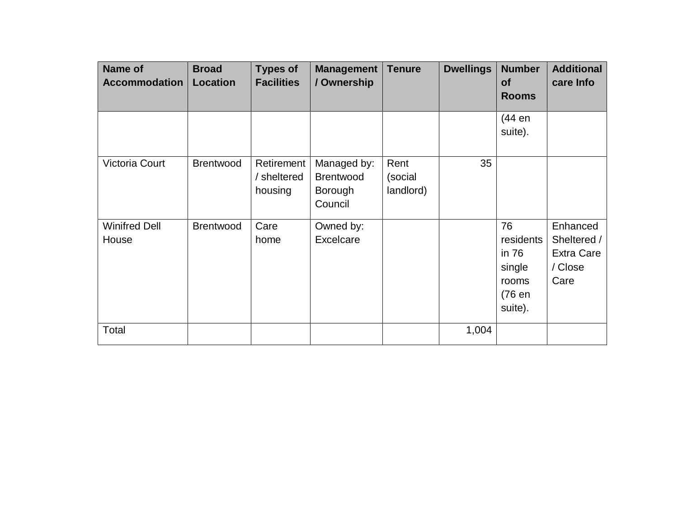| <b>Name of</b><br><b>Accommodation</b> | <b>Broad</b><br><b>Location</b> | <b>Types of</b><br><b>Facilities</b> | Management<br>/ Ownership                             | <b>Tenure</b>                | <b>Dwellings</b> | <b>Number</b><br><b>of</b><br><b>Rooms</b>                       | <b>Additional</b><br>care Info                                  |
|----------------------------------------|---------------------------------|--------------------------------------|-------------------------------------------------------|------------------------------|------------------|------------------------------------------------------------------|-----------------------------------------------------------------|
|                                        |                                 |                                      |                                                       |                              |                  | (44 en<br>suite).                                                |                                                                 |
| <b>Victoria Court</b>                  | <b>Brentwood</b>                | Retirement<br>/ sheltered<br>housing | Managed by:<br><b>Brentwood</b><br>Borough<br>Council | Rent<br>(social<br>landlord) | 35               |                                                                  |                                                                 |
| <b>Winifred Dell</b><br>House          | <b>Brentwood</b>                | Care<br>home                         | Owned by:<br>Excelcare                                |                              |                  | 76<br>residents<br>in 76<br>single<br>rooms<br>(76 en<br>suite). | Enhanced<br>Sheltered /<br><b>Extra Care</b><br>/ Close<br>Care |
| Total                                  |                                 |                                      |                                                       |                              | 1,004            |                                                                  |                                                                 |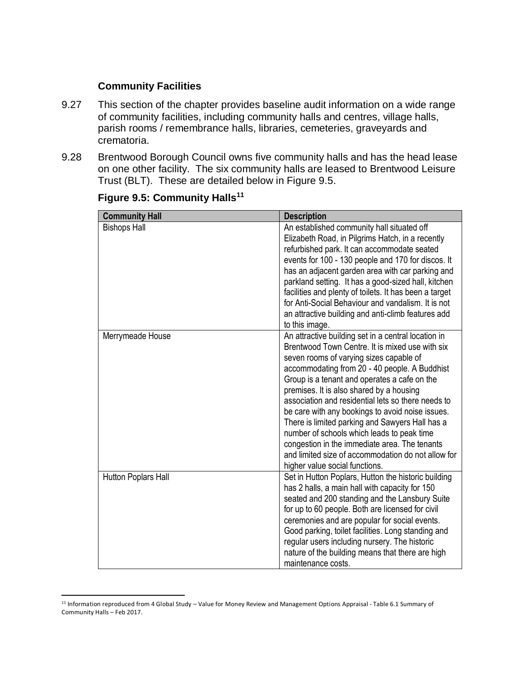#### **Community Facilities**

- 9.27 This section of the chapter provides baseline audit information on a wide range of community facilities, including community halls and centres, village halls, parish rooms / remembrance halls, libraries, cemeteries, graveyards and crematoria.
- 9.28 Brentwood Borough Council owns five community halls and has the head lease on one other facility. The six community halls are leased to Brentwood Leisure Trust (BLT). These are detailed below in Figure 9.5.

| <b>Community Hall</b> | <b>Description</b>                                                                                                                                                                                                                                                                                                                                                                                                                                                                                                                                                                                                                                 |
|-----------------------|----------------------------------------------------------------------------------------------------------------------------------------------------------------------------------------------------------------------------------------------------------------------------------------------------------------------------------------------------------------------------------------------------------------------------------------------------------------------------------------------------------------------------------------------------------------------------------------------------------------------------------------------------|
| <b>Bishops Hall</b>   | An established community hall situated off<br>Elizabeth Road, in Pilgrims Hatch, in a recently<br>refurbished park. It can accommodate seated<br>events for 100 - 130 people and 170 for discos. It<br>has an adjacent garden area with car parking and<br>parkland setting. It has a good-sized hall, kitchen<br>facilities and plenty of toilets. It has been a target<br>for Anti-Social Behaviour and vandalism. It is not<br>an attractive building and anti-climb features add<br>to this image.                                                                                                                                             |
| Merrymeade House      | An attractive building set in a central location in<br>Brentwood Town Centre. It is mixed use with six<br>seven rooms of varying sizes capable of<br>accommodating from 20 - 40 people. A Buddhist<br>Group is a tenant and operates a cafe on the<br>premises. It is also shared by a housing<br>association and residential lets so there needs to<br>be care with any bookings to avoid noise issues.<br>There is limited parking and Sawyers Hall has a<br>number of schools which leads to peak time<br>congestion in the immediate area. The tenants<br>and limited size of accommodation do not allow for<br>higher value social functions. |
| Hutton Poplars Hall   | Set in Hutton Poplars, Hutton the historic building<br>has 2 halls, a main hall with capacity for 150<br>seated and 200 standing and the Lansbury Suite<br>for up to 60 people. Both are licensed for civil<br>ceremonies and are popular for social events.<br>Good parking, toilet facilities. Long standing and<br>regular users including nursery. The historic<br>nature of the building means that there are high<br>maintenance costs.                                                                                                                                                                                                      |

#### **Figure 9.5: Community Halls<sup>11</sup>**

 $\overline{a}$ <sup>11</sup> Information reproduced from 4 Global Study – Value for Money Review and Management Options Appraisal - Table 6.1 Summary of Community Halls – Feb 2017.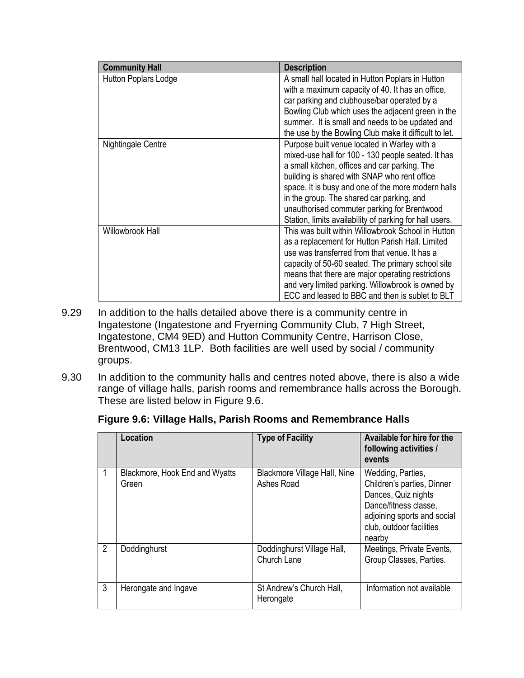| <b>Community Hall</b> | <b>Description</b>                                                                                                                                                                                                                                                                                                                                                                                               |
|-----------------------|------------------------------------------------------------------------------------------------------------------------------------------------------------------------------------------------------------------------------------------------------------------------------------------------------------------------------------------------------------------------------------------------------------------|
| Hutton Poplars Lodge  | A small hall located in Hutton Poplars in Hutton<br>with a maximum capacity of 40. It has an office,<br>car parking and clubhouse/bar operated by a<br>Bowling Club which uses the adjacent green in the<br>summer. It is small and needs to be updated and<br>the use by the Bowling Club make it difficult to let.                                                                                             |
| Nightingale Centre    | Purpose built venue located in Warley with a<br>mixed-use hall for 100 - 130 people seated. It has<br>a small kitchen, offices and car parking. The<br>building is shared with SNAP who rent office<br>space. It is busy and one of the more modern halls<br>in the group. The shared car parking, and<br>unauthorised commuter parking for Brentwood<br>Station, limits availability of parking for hall users. |
| Willowbrook Hall      | This was built within Willowbrook School in Hutton<br>as a replacement for Hutton Parish Hall. Limited<br>use was transferred from that venue. It has a<br>capacity of 50-60 seated. The primary school site<br>means that there are major operating restrictions<br>and very limited parking. Willowbrook is owned by<br>ECC and leased to BBC and then is sublet to BLT                                        |

- 9.29 In addition to the halls detailed above there is a community centre in Ingatestone (Ingatestone and Fryerning Community Club, 7 High Street, Ingatestone, CM4 9ED) and Hutton Community Centre, Harrison Close, Brentwood, CM13 1LP. Both facilities are well used by social / community groups.
- 9.30 In addition to the community halls and centres noted above, there is also a wide range of village halls, parish rooms and remembrance halls across the Borough. These are listed below in Figure 9.6.

|  | Figure 9.6: Village Halls, Parish Rooms and Remembrance Halls |  |  |  |
|--|---------------------------------------------------------------|--|--|--|
|  |                                                               |  |  |  |

|   | Location                                | <b>Type of Facility</b>                    | Available for hire for the<br>following activities /<br>events                                                                                                       |
|---|-----------------------------------------|--------------------------------------------|----------------------------------------------------------------------------------------------------------------------------------------------------------------------|
|   | Blackmore, Hook End and Wyatts<br>Green | Blackmore Village Hall, Nine<br>Ashes Road | Wedding, Parties,<br>Children's parties, Dinner<br>Dances, Quiz nights<br>Dance/fitness classe,<br>adjoining sports and social<br>club, outdoor facilities<br>nearby |
| 2 | Doddinghurst                            | Doddinghurst Village Hall,<br>Church Lane  | Meetings, Private Events,<br>Group Classes, Parties.                                                                                                                 |
| 3 | Herongate and Ingave                    | St Andrew's Church Hall,<br>Herongate      | Information not available                                                                                                                                            |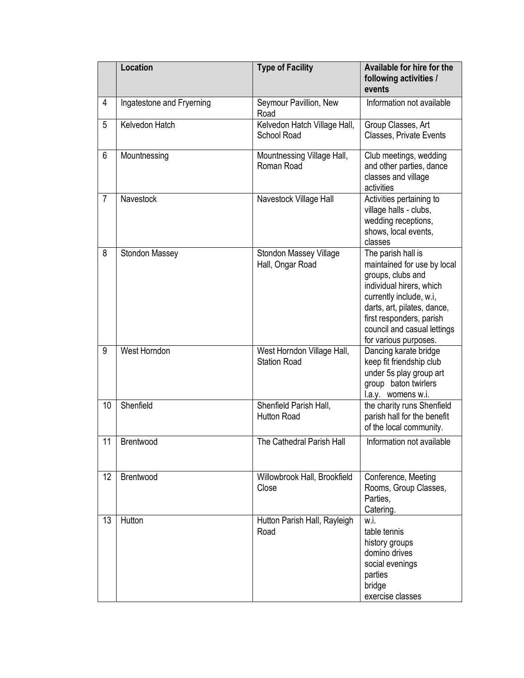|                | <b>Location</b>           | <b>Type of Facility</b>                           | <b>Available for hire for the</b><br>following activities /<br>events                                                                                                                                                                            |
|----------------|---------------------------|---------------------------------------------------|--------------------------------------------------------------------------------------------------------------------------------------------------------------------------------------------------------------------------------------------------|
| 4              | Ingatestone and Fryerning | Seymour Pavillion, New<br>Road                    | Information not available                                                                                                                                                                                                                        |
| 5              | Kelvedon Hatch            | Kelvedon Hatch Village Hall,<br>School Road       | Group Classes, Art<br>Classes, Private Events                                                                                                                                                                                                    |
| 6              | Mountnessing              | Mountnessing Village Hall,<br>Roman Road          | Club meetings, wedding<br>and other parties, dance<br>classes and village<br>activities                                                                                                                                                          |
| $\overline{7}$ | Navestock                 | Navestock Village Hall                            | Activities pertaining to<br>village halls - clubs,<br>wedding receptions,<br>shows, local events,<br>classes                                                                                                                                     |
| 8              | Stondon Massey            | Stondon Massey Village<br>Hall, Ongar Road        | The parish hall is<br>maintained for use by local<br>groups, clubs and<br>individual hirers, which<br>currently include, w.i,<br>darts, art, pilates, dance,<br>first responders, parish<br>council and casual lettings<br>for various purposes. |
| 9              | West Horndon              | West Horndon Village Hall,<br><b>Station Road</b> | Dancing karate bridge<br>keep fit friendship club<br>under 5s play group art<br>group baton twirlers<br>l.a.y. womens w.i.                                                                                                                       |
| 10             | Shenfield                 | Shenfield Parish Hall,<br>Hutton Road             | the charity runs Shenfield<br>parish hall for the benefit<br>of the local community.                                                                                                                                                             |
| 11             | Brentwood                 | The Cathedral Parish Hall                         | Information not available                                                                                                                                                                                                                        |
| 12             | Brentwood                 | Willowbrook Hall, Brookfield<br>Close             | Conference, Meeting<br>Rooms, Group Classes,<br>Parties,<br>Catering.                                                                                                                                                                            |
| 13             | Hutton                    | Hutton Parish Hall, Rayleigh<br>Road              | w.i.<br>table tennis<br>history groups<br>domino drives<br>social evenings<br>parties<br>bridge<br>exercise classes                                                                                                                              |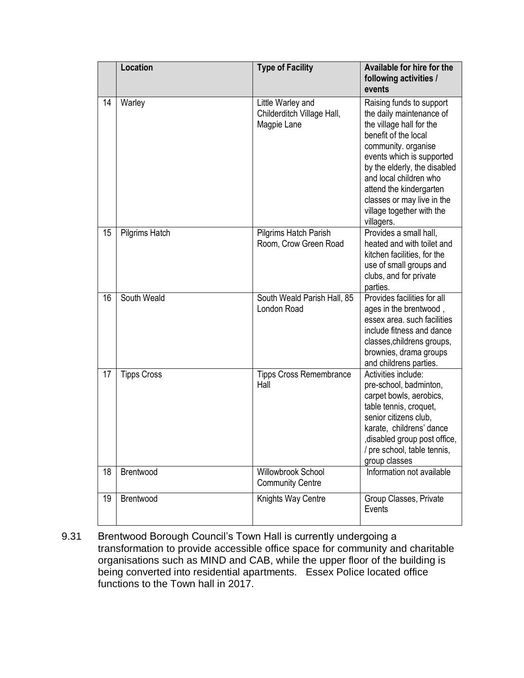|    | Location           | <b>Type of Facility</b>                                        | Available for hire for the<br>following activities /<br>events                                                                                                                                                                                                                                                             |
|----|--------------------|----------------------------------------------------------------|----------------------------------------------------------------------------------------------------------------------------------------------------------------------------------------------------------------------------------------------------------------------------------------------------------------------------|
| 14 | Warley             | Little Warley and<br>Childerditch Village Hall,<br>Magpie Lane | Raising funds to support<br>the daily maintenance of<br>the village hall for the<br>benefit of the local<br>community. organise<br>events which is supported<br>by the elderly, the disabled<br>and local children who<br>attend the kindergarten<br>classes or may live in the<br>village together with the<br>villagers. |
| 15 | Pilgrims Hatch     | Pilgrims Hatch Parish<br>Room, Crow Green Road                 | Provides a small hall,<br>heated and with toilet and<br>kitchen facilities, for the<br>use of small groups and<br>clubs, and for private<br>parties.                                                                                                                                                                       |
| 16 | South Weald        | South Weald Parish Hall, 85<br>London Road                     | Provides facilities for all<br>ages in the brentwood,<br>essex area. such facilities<br>include fitness and dance<br>classes, childrens groups,<br>brownies, drama groups<br>and childrens parties.                                                                                                                        |
| 17 | <b>Tipps Cross</b> | <b>Tipps Cross Remembrance</b><br>Hall                         | Activities include:<br>pre-school, badminton,<br>carpet bowls, aerobics,<br>table tennis, croquet,<br>senior citizens club,<br>karate, childrens' dance<br>, disabled group post office,<br>/ pre school, table tennis,<br>group classes                                                                                   |
| 18 | Brentwood          | Willowbrook School<br><b>Community Centre</b>                  | Information not available                                                                                                                                                                                                                                                                                                  |
| 19 | Brentwood          | Knights Way Centre                                             | Group Classes, Private<br>Events                                                                                                                                                                                                                                                                                           |

9.31 Brentwood Borough Council's Town Hall is currently undergoing a transformation to provide accessible office space for community and charitable organisations such as MIND and CAB, while the upper floor of the building is being converted into residential apartments. Essex Police located office functions to the Town hall in 2017.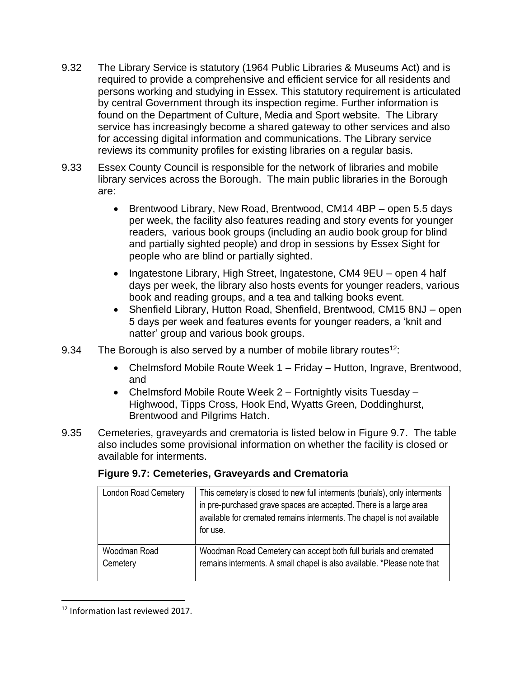- 9.32 The Library Service is statutory (1964 Public Libraries & Museums Act) and is required to provide a comprehensive and efficient service for all residents and persons working and studying in Essex. This statutory requirement is articulated by central Government through its inspection regime. Further information is found on the Department of Culture, Media and Sport website. The Library service has increasingly become a shared gateway to other services and also for accessing digital information and communications. The Library service reviews its community profiles for existing libraries on a regular basis.
- 9.33 Essex County Council is responsible for the network of libraries and mobile library services across the Borough. The main public libraries in the Borough are:
	- Brentwood Library, New Road, Brentwood, CM14 4BP open 5.5 days per week, the facility also features reading and story events for younger readers, various book groups (including an audio book group for blind and partially sighted people) and drop in sessions by Essex Sight for people who are blind or partially sighted.
	- Ingatestone Library, High Street, Ingatestone, CM4 9EU open 4 half days per week, the library also hosts events for younger readers, various book and reading groups, and a tea and talking books event.
	- Shenfield Library, Hutton Road, Shenfield, Brentwood, CM15 8NJ open 5 days per week and features events for younger readers, a 'knit and natter' group and various book groups.
- 9.34 The Borough is also served by a number of mobile library routes<sup>12</sup>:
	- Chelmsford Mobile Route Week 1 Friday Hutton, Ingrave, Brentwood, and
	- Chelmsford Mobile Route Week 2 Fortnightly visits Tuesday Highwood, Tipps Cross, Hook End, Wyatts Green, Doddinghurst, Brentwood and Pilgrims Hatch.
- 9.35 Cemeteries, graveyards and crematoria is listed below in Figure 9.7. The table also includes some provisional information on whether the facility is closed or available for interments.

| <b>London Road Cemetery</b> | This cemetery is closed to new full interments (burials), only interments<br>in pre-purchased grave spaces are accepted. There is a large area<br>available for cremated remains interments. The chapel is not available<br>for use. |
|-----------------------------|--------------------------------------------------------------------------------------------------------------------------------------------------------------------------------------------------------------------------------------|
| Woodman Road<br>Cemetery    | Woodman Road Cemetery can accept both full burials and cremated<br>remains interments. A small chapel is also available. *Please note that                                                                                           |

#### **Figure 9.7: Cemeteries, Graveyards and Crematoria**

 $\overline{a}$ <sup>12</sup> Information last reviewed 2017.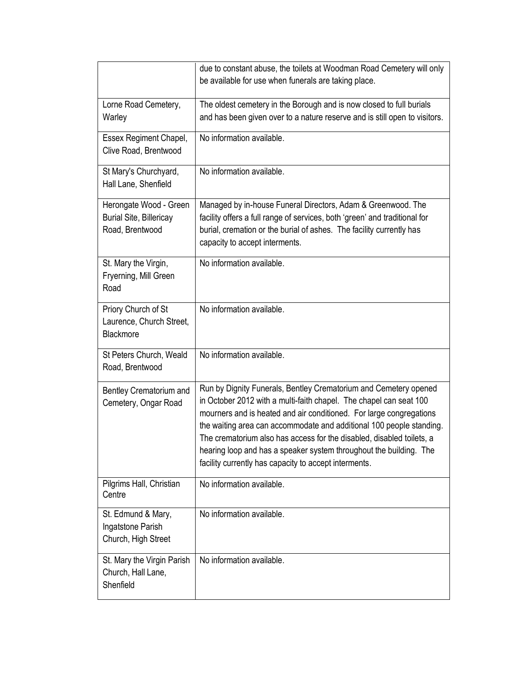|                                                                             | due to constant abuse, the toilets at Woodman Road Cemetery will only<br>be available for use when funerals are taking place.                                                                                                                                                                                                                                                                                                                                                                 |  |
|-----------------------------------------------------------------------------|-----------------------------------------------------------------------------------------------------------------------------------------------------------------------------------------------------------------------------------------------------------------------------------------------------------------------------------------------------------------------------------------------------------------------------------------------------------------------------------------------|--|
| Lorne Road Cemetery,<br>Warley                                              | The oldest cemetery in the Borough and is now closed to full burials<br>and has been given over to a nature reserve and is still open to visitors.                                                                                                                                                                                                                                                                                                                                            |  |
| Essex Regiment Chapel,<br>Clive Road, Brentwood                             | No information available.                                                                                                                                                                                                                                                                                                                                                                                                                                                                     |  |
| St Mary's Churchyard,<br>Hall Lane, Shenfield                               | No information available.                                                                                                                                                                                                                                                                                                                                                                                                                                                                     |  |
| Herongate Wood - Green<br><b>Burial Site, Billericay</b><br>Road, Brentwood | Managed by in-house Funeral Directors, Adam & Greenwood. The<br>facility offers a full range of services, both 'green' and traditional for<br>burial, cremation or the burial of ashes. The facility currently has<br>capacity to accept interments.                                                                                                                                                                                                                                          |  |
| St. Mary the Virgin,<br>Fryerning, Mill Green<br>Road                       | No information available.                                                                                                                                                                                                                                                                                                                                                                                                                                                                     |  |
| Priory Church of St<br>Laurence, Church Street,<br>Blackmore                | No information available.                                                                                                                                                                                                                                                                                                                                                                                                                                                                     |  |
| St Peters Church, Weald<br>Road, Brentwood                                  | No information available.                                                                                                                                                                                                                                                                                                                                                                                                                                                                     |  |
| Bentley Crematorium and<br>Cemetery, Ongar Road                             | Run by Dignity Funerals, Bentley Crematorium and Cemetery opened<br>in October 2012 with a multi-faith chapel. The chapel can seat 100<br>mourners and is heated and air conditioned. For large congregations<br>the waiting area can accommodate and additional 100 people standing.<br>The crematorium also has access for the disabled, disabled toilets, a<br>hearing loop and has a speaker system throughout the building. The<br>facility currently has capacity to accept interments. |  |
| Pilgrims Hall, Christian<br>Centre                                          | No information available.                                                                                                                                                                                                                                                                                                                                                                                                                                                                     |  |
| St. Edmund & Mary,<br>Ingatstone Parish<br>Church, High Street              | No information available.                                                                                                                                                                                                                                                                                                                                                                                                                                                                     |  |
| St. Mary the Virgin Parish<br>Church, Hall Lane,<br>Shenfield               | No information available.                                                                                                                                                                                                                                                                                                                                                                                                                                                                     |  |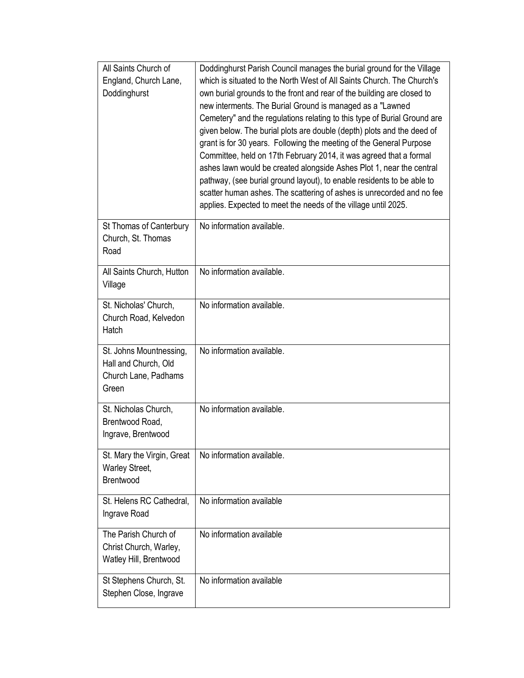| All Saints Church of<br>England, Church Lane,<br>Doddinghurst                    | Doddinghurst Parish Council manages the burial ground for the Village<br>which is situated to the North West of All Saints Church. The Church's<br>own burial grounds to the front and rear of the building are closed to<br>new interments. The Burial Ground is managed as a "Lawned<br>Cemetery" and the regulations relating to this type of Burial Ground are<br>given below. The burial plots are double (depth) plots and the deed of<br>grant is for 30 years. Following the meeting of the General Purpose<br>Committee, held on 17th February 2014, it was agreed that a formal<br>ashes lawn would be created alongside Ashes Plot 1, near the central<br>pathway, (see burial ground layout), to enable residents to be able to<br>scatter human ashes. The scattering of ashes is unrecorded and no fee<br>applies. Expected to meet the needs of the village until 2025. |
|----------------------------------------------------------------------------------|----------------------------------------------------------------------------------------------------------------------------------------------------------------------------------------------------------------------------------------------------------------------------------------------------------------------------------------------------------------------------------------------------------------------------------------------------------------------------------------------------------------------------------------------------------------------------------------------------------------------------------------------------------------------------------------------------------------------------------------------------------------------------------------------------------------------------------------------------------------------------------------|
| St Thomas of Canterbury<br>Church, St. Thomas<br>Road                            | No information available.                                                                                                                                                                                                                                                                                                                                                                                                                                                                                                                                                                                                                                                                                                                                                                                                                                                              |
| All Saints Church, Hutton<br>Village                                             | No information available.                                                                                                                                                                                                                                                                                                                                                                                                                                                                                                                                                                                                                                                                                                                                                                                                                                                              |
| St. Nicholas' Church,<br>Church Road, Kelvedon<br>Hatch                          | No information available.                                                                                                                                                                                                                                                                                                                                                                                                                                                                                                                                                                                                                                                                                                                                                                                                                                                              |
| St. Johns Mountnessing,<br>Hall and Church, Old<br>Church Lane, Padhams<br>Green | No information available.                                                                                                                                                                                                                                                                                                                                                                                                                                                                                                                                                                                                                                                                                                                                                                                                                                                              |
| St. Nicholas Church,<br>Brentwood Road,<br>Ingrave, Brentwood                    | No information available.                                                                                                                                                                                                                                                                                                                                                                                                                                                                                                                                                                                                                                                                                                                                                                                                                                                              |
| St. Mary the Virgin, Great<br>Warley Street,<br><b>Brentwood</b>                 | No information available.                                                                                                                                                                                                                                                                                                                                                                                                                                                                                                                                                                                                                                                                                                                                                                                                                                                              |
| St. Helens RC Cathedral,<br>Ingrave Road                                         | No information available                                                                                                                                                                                                                                                                                                                                                                                                                                                                                                                                                                                                                                                                                                                                                                                                                                                               |
| The Parish Church of<br>Christ Church, Warley,<br>Watley Hill, Brentwood         | No information available                                                                                                                                                                                                                                                                                                                                                                                                                                                                                                                                                                                                                                                                                                                                                                                                                                                               |
| St Stephens Church, St.<br>Stephen Close, Ingrave                                | No information available                                                                                                                                                                                                                                                                                                                                                                                                                                                                                                                                                                                                                                                                                                                                                                                                                                                               |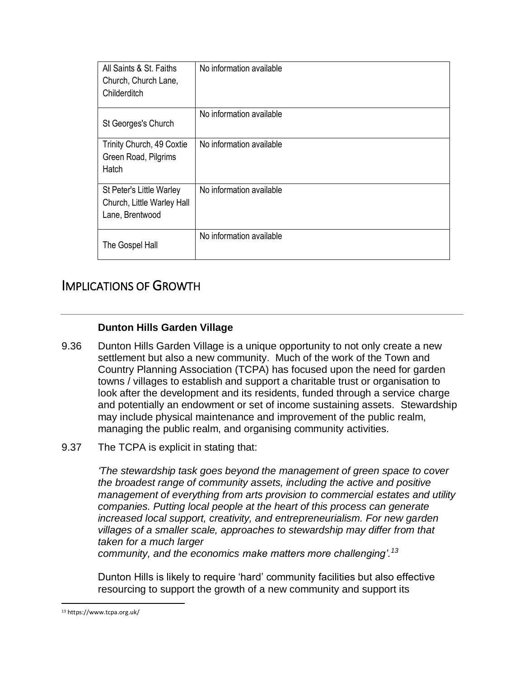| All Saints & St. Faiths<br>Church, Church Lane,<br>Childerditch           | No information available |
|---------------------------------------------------------------------------|--------------------------|
| St Georges's Church                                                       | No information available |
| Trinity Church, 49 Coxtie<br>Green Road, Pilgrims<br>Hatch                | No information available |
| St Peter's Little Warley<br>Church, Little Warley Hall<br>Lane, Brentwood | No information available |
| The Gospel Hall                                                           | No information available |

## IMPLICATIONS OF GROWTH

#### **Dunton Hills Garden Village**

- 9.36 Dunton Hills Garden Village is a unique opportunity to not only create a new settlement but also a new community. Much of the work of the Town and Country Planning Association (TCPA) has focused upon the need for garden towns / villages to establish and support a charitable trust or organisation to look after the development and its residents, funded through a service charge and potentially an endowment or set of income sustaining assets. Stewardship may include physical maintenance and improvement of the public realm, managing the public realm, and organising community activities.
- 9.37 The TCPA is explicit in stating that:

*'The stewardship task goes beyond the management of green space to cover the broadest range of community assets, including the active and positive management of everything from arts provision to commercial estates and utility companies. Putting local people at the heart of this process can generate increased local support, creativity, and entrepreneurialism. For new garden villages of a smaller scale, approaches to stewardship may differ from that taken for a much larger community, and the economics make matters more challenging'.<sup>13</sup>*

Dunton Hills is likely to require 'hard' community facilities but also effective

resourcing to support the growth of a new community and support its

 $\overline{\phantom{a}}$ <sup>13</sup> https://www.tcpa.org.uk/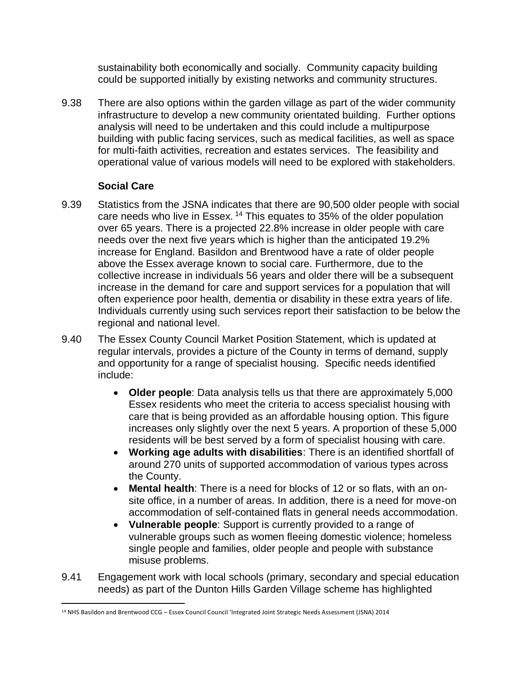sustainability both economically and socially. Community capacity building could be supported initially by existing networks and community structures.

9.38 There are also options within the garden village as part of the wider community infrastructure to develop a new community orientated building. Further options analysis will need to be undertaken and this could include a multipurpose building with public facing services, such as medical facilities, as well as space for multi-faith activities, recreation and estates services. The feasibility and operational value of various models will need to be explored with stakeholders.

#### **Social Care**

- 9.39 Statistics from the JSNA indicates that there are 90,500 older people with social care needs who live in Essex. <sup>14</sup> This equates to 35% of the older population over 65 years. There is a projected 22.8% increase in older people with care needs over the next five years which is higher than the anticipated 19.2% increase for England. Basildon and Brentwood have a rate of older people above the Essex average known to social care. Furthermore, due to the collective increase in individuals 56 years and older there will be a subsequent increase in the demand for care and support services for a population that will often experience poor health, dementia or disability in these extra years of life. Individuals currently using such services report their satisfaction to be below the regional and national level.
- 9.40 The Essex County Council Market Position Statement, which is updated at regular intervals, provides a picture of the County in terms of demand, supply and opportunity for a range of specialist housing. Specific needs identified include:
	- **Older people**: Data analysis tells us that there are approximately 5,000 Essex residents who meet the criteria to access specialist housing with care that is being provided as an affordable housing option. This figure increases only slightly over the next 5 years. A proportion of these 5,000 residents will be best served by a form of specialist housing with care.
	- **Working age adults with disabilities**: There is an identified shortfall of around 270 units of supported accommodation of various types across the County.
	- **Mental health**: There is a need for blocks of 12 or so flats, with an onsite office, in a number of areas. In addition, there is a need for move-on accommodation of self-contained flats in general needs accommodation.
	- **Vulnerable people**: Support is currently provided to a range of vulnerable groups such as women fleeing domestic violence; homeless single people and families, older people and people with substance misuse problems.
- 9.41 Engagement work with local schools (primary, secondary and special education needs) as part of the Dunton Hills Garden Village scheme has highlighted

 $\overline{\phantom{a}}$ <sup>14</sup> NHS Basildon and Brentwood CCG – Essex Council Council 'Integrated Joint Strategic Needs Assessment (JSNA) 2014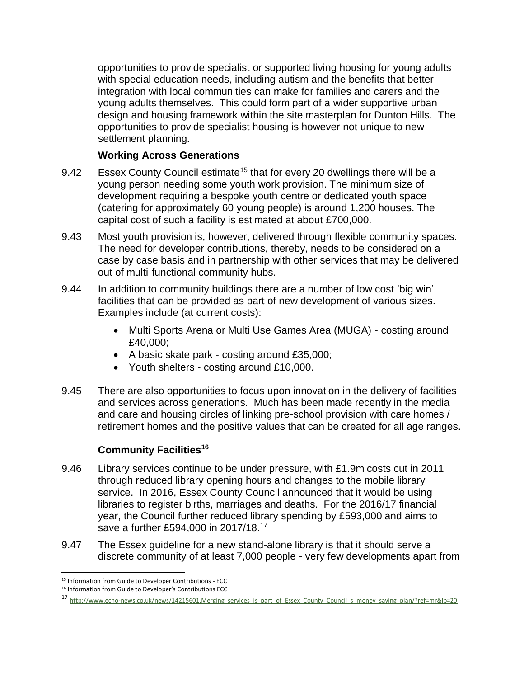opportunities to provide specialist or supported living housing for young adults with special education needs, including autism and the benefits that better integration with local communities can make for families and carers and the young adults themselves. This could form part of a wider supportive urban design and housing framework within the site masterplan for Dunton Hills. The opportunities to provide specialist housing is however not unique to new settlement planning.

#### **Working Across Generations**

- 9.42 Essex County Council estimate<sup>15</sup> that for every 20 dwellings there will be a young person needing some youth work provision. The minimum size of development requiring a bespoke youth centre or dedicated youth space (catering for approximately 60 young people) is around 1,200 houses. The capital cost of such a facility is estimated at about £700,000.
- 9.43 Most youth provision is, however, delivered through flexible community spaces. The need for developer contributions, thereby, needs to be considered on a case by case basis and in partnership with other services that may be delivered out of multi-functional community hubs.
- 9.44 In addition to community buildings there are a number of low cost 'big win' facilities that can be provided as part of new development of various sizes. Examples include (at current costs):
	- Multi Sports Arena or Multi Use Games Area (MUGA) costing around £40,000;
	- A basic skate park costing around £35,000;
	- Youth shelters costing around £10,000.
- 9.45 There are also opportunities to focus upon innovation in the delivery of facilities and services across generations. Much has been made recently in the media and care and housing circles of linking pre-school provision with care homes / retirement homes and the positive values that can be created for all age ranges.

#### **Community Facilities<sup>16</sup>**

- 9.46 Library services continue to be under pressure, with £1.9m costs cut in 2011 through reduced library opening hours and changes to the mobile library service. In 2016, Essex County Council announced that it would be using libraries to register births, marriages and deaths. For the 2016/17 financial year, the Council further reduced library spending by £593,000 and aims to save a further £594,000 in 2017/18.<sup>17</sup>
- 9.47 The Essex guideline for a new stand-alone library is that it should serve a discrete community of at least 7,000 people - very few developments apart from

 $\overline{\phantom{a}}$ <sup>15</sup> Information from Guide to Developer Contributions - ECC

<sup>16</sup> Information from Guide to Developer's Contributions ECC

<sup>17</sup> [http://www.echo-news.co.uk/news/14215601.Merging\\_services\\_is\\_part\\_of\\_Essex\\_County\\_Council\\_s\\_money\\_saving\\_plan/?ref=mr&lp=20](http://www.echo-news.co.uk/news/14215601.Merging_services_is_part_of_Essex_County_Council_s_money_saving_plan/?ref=mr&lp=20)